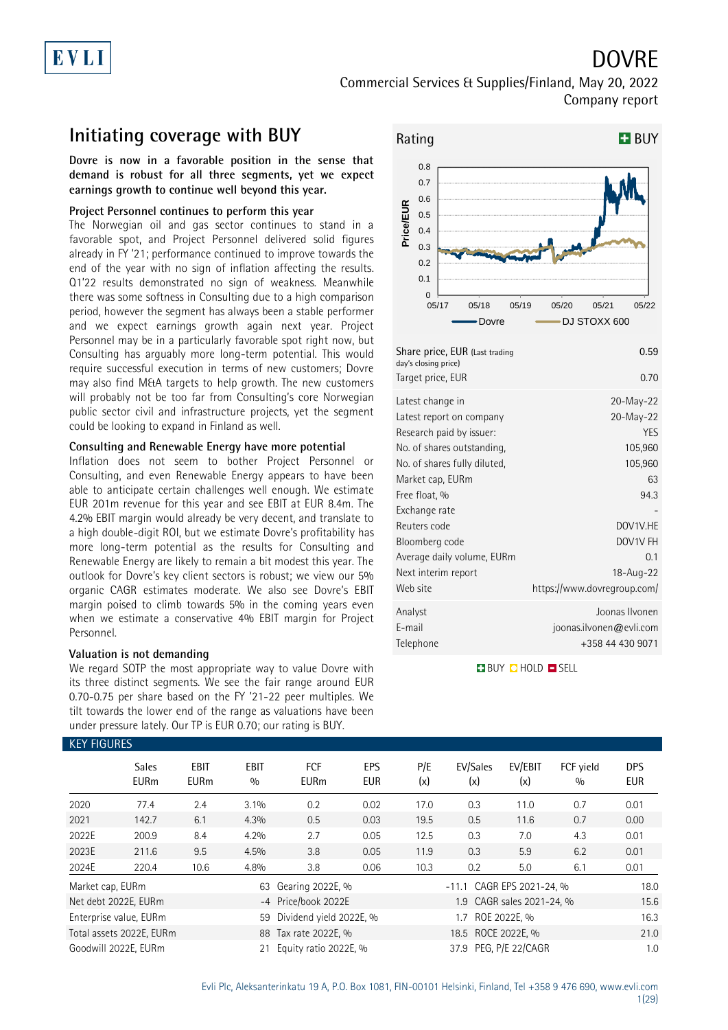## **Initiating coverage with BUY**

**Dovre is now in a favorable position in the sense that demand is robust for all three segments, yet we expect earnings growth to continue well beyond this year.** 

### **Project Personnel continues to perform this year**

The Norwegian oil and gas sector continues to stand in a favorable spot, and Project Personnel delivered solid figures already in FY '21; performance continued to improve towards the end of the year with no sign of inflation affecting the results. Q1'22 results demonstrated no sign of weakness. Meanwhile there was some softness in Consulting due to a high comparison period, however the segment has always been a stable performer and we expect earnings growth again next year. Project Personnel may be in a particularly favorable spot right now, but Consulting has arguably more long-term potential. This would require successful execution in terms of new customers; Dovre may also find M&A targets to help growth. The new customers will probably not be too far from Consulting's core Norwegian public sector civil and infrastructure projects, yet the segment could be looking to expand in Finland as well.

#### **Consulting and Renewable Energy have more potential**

Inflation does not seem to bother Project Personnel or Consulting, and even Renewable Energy appears to have been able to anticipate certain challenges well enough. We estimate EUR 201m revenue for this year and see EBIT at EUR 8.4m. The 4.2% EBIT margin would already be very decent, and translate to a high double-digit ROI, but we estimate Dovre's profitability has more long-term potential as the results for Consulting and Renewable Energy are likely to remain a bit modest this year. The outlook for Dovre's key client sectors is robust; we view our 5% organic CAGR estimates moderate. We also see Dovre's EBIT margin poised to climb towards 5% in the coming years even when we estimate a conservative 4% EBIT margin for Project Personnel.

#### **Valuation is not demanding**

We regard SOTP the most appropriate way to value Dovre with its three distinct segments. We see the fair range around EUR 0.70-0.75 per share based on the FY '21-22 peer multiples. We tilt towards the lower end of the range as valuations have been under pressure lately. Our TP is EUR 0.70; our rating is BUY.



| 0.59<br>0.70                                                                                                               |
|----------------------------------------------------------------------------------------------------------------------------|
| 20-May-22<br>20-May-22<br><b>YES</b><br>105,960<br>105,960<br>63<br>94.3<br>DOV1V.HE<br>DOV1V FH<br>0.1<br>$18 - Aug - 22$ |
| https://www.dovregroup.com/                                                                                                |
| Joonas Ilvonen<br>joonas.ilvonen@evli.com<br>+358 44 430 9071                                                              |
|                                                                                                                            |

**BUY Q HOLD O SELL** 

| KET FIUURES      |                             |                            |                    |                            |                   |            |                           |                |                  |                   |
|------------------|-----------------------------|----------------------------|--------------------|----------------------------|-------------------|------------|---------------------------|----------------|------------------|-------------------|
|                  | <b>Sales</b><br><b>EURm</b> | <b>EBIT</b><br><b>EURm</b> | <b>EBIT</b><br>0/0 | <b>FCF</b><br><b>EURm</b>  | EPS<br><b>EUR</b> | P/E<br>(x) | EV/Sales<br>(x)           | EV/EBIT<br>(x) | FCF vield<br>0/0 | <b>DPS</b><br>EUR |
| 2020             | 77.4                        | 2.4                        | 3.1%               | 0.2                        | 0.02              | 17.0       | 0.3                       | 11.0           | 0.7              | 0.01              |
| 2021             | 142.7                       | 6.1                        | 4.3%               | 0.5                        | 0.03              | 19.5       | 0.5                       | 11.6           | 0.7              | 0.00              |
| 2022E            | 200.9                       | 8.4                        | 4.2%               | 2.7                        | 0.05              | 12.5       | 0.3                       | 7.0            | 4.3              | 0.01              |
| 2023E            | 211.6                       | 9.5                        | 4.5%               | 3.8                        | 0.05              | 11.9       | 0.3                       | 5.9            | 6.2              | 0.01              |
| 2024E            | 220.4                       | 10.6                       | 4.8%               | 3.8                        | 0.06              | 10.3       | 0.2                       | 5.0            | 6.1              | 0.01              |
| Market cap, EURm |                             |                            | 63                 | Gearing 2022E, %           |                   |            | -11.1 CAGR EPS 2021-24, % | 18.0           |                  |                   |
|                  | Net debt 2022E, EURm        |                            |                    | -4 Price/book 2022E        |                   |            | 1.9 CAGR sales 2021-24, % | 15.6           |                  |                   |
|                  | Enterprise value, EURm      |                            |                    | 59 Dividend yield 2022E, % |                   |            |                           | 16.3           |                  |                   |
|                  | Total assets 2022E, EURm    |                            |                    | 88 Tax rate 2022E, %       |                   |            | 18.5 ROCE 2022E, %        |                |                  | 21.0              |
|                  | Goodwill 2022E, EURm        |                            | 21                 | Equity ratio 2022E, %      |                   |            | 37.9 PEG. P/E 22/CAGR     |                |                  | 1.0               |

## KEY FIGURES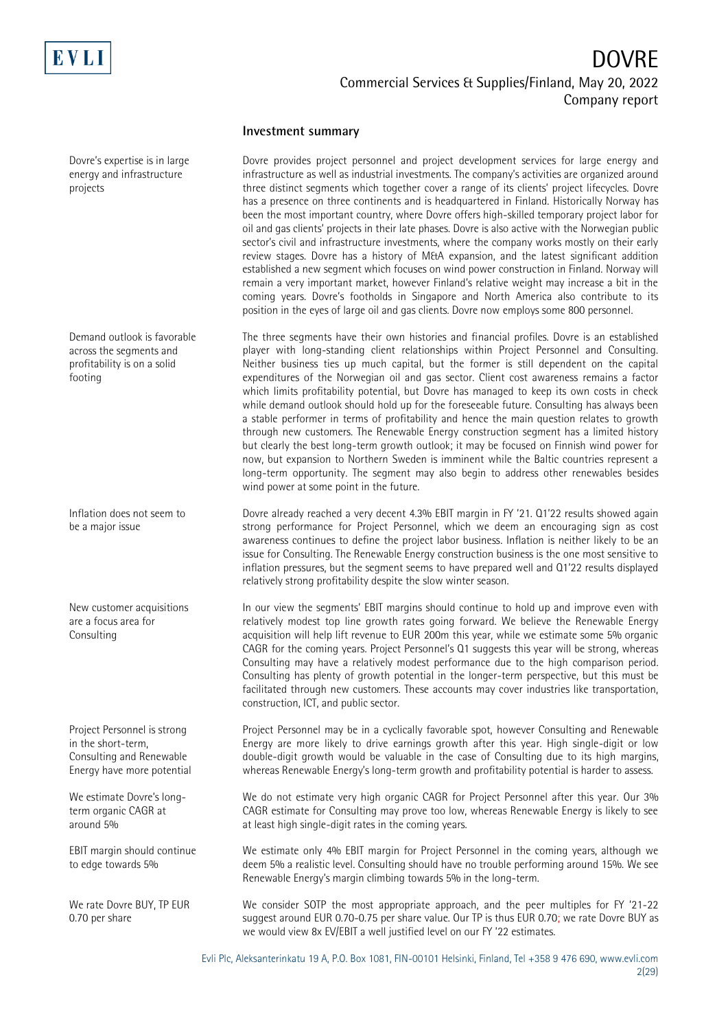

#### **Investment summary**

Dovre provides project personnel and project development services for large energy and infrastructure as well as industrial investments. The company's activities are organized around three distinct segments which together cover a range of its clients' project lifecycles. Dovre has a presence on three continents and is headquartered in Finland. Historically Norway has been the most important country, where Dovre offers high-skilled temporary project labor for oil and gas clients' projects in their late phases. Dovre is also active with the Norwegian public sector's civil and infrastructure investments, where the company works mostly on their early review stages. Dovre has a history of M&A expansion, and the latest significant addition established a new segment which focuses on wind power construction in Finland. Norway will remain a very important market, however Finland's relative weight may increase a bit in the coming years. Dovre's footholds in Singapore and North America also contribute to its position in the eyes of large oil and gas clients. Dovre now employs some 800 personnel.

The three segments have their own histories and financial profiles. Dovre is an established player with long-standing client relationships within Project Personnel and Consulting. Neither business ties up much capital, but the former is still dependent on the capital expenditures of the Norwegian oil and gas sector. Client cost awareness remains a factor which limits profitability potential, but Dovre has managed to keep its own costs in check while demand outlook should hold up for the foreseeable future. Consulting has always been a stable performer in terms of profitability and hence the main question relates to growth through new customers. The Renewable Energy construction segment has a limited history but clearly the best long-term growth outlook; it may be focused on Finnish wind power for now, but expansion to Northern Sweden is imminent while the Baltic countries represent a long-term opportunity. The segment may also begin to address other renewables besides wind power at some point in the future.

Dovre already reached a very decent 4.3% EBIT margin in FY '21. Q1'22 results showed again strong performance for Project Personnel, which we deem an encouraging sign as cost awareness continues to define the project labor business. Inflation is neither likely to be an issue for Consulting. The Renewable Energy construction business is the one most sensitive to inflation pressures, but the segment seems to have prepared well and Q1'22 results displayed relatively strong profitability despite the slow winter season.

In our view the segments' EBIT margins should continue to hold up and improve even with relatively modest top line growth rates going forward. We believe the Renewable Energy acquisition will help lift revenue to EUR 200m this year, while we estimate some 5% organic CAGR for the coming years. Project Personnel's Q1 suggests this year will be strong, whereas Consulting may have a relatively modest performance due to the high comparison period. Consulting has plenty of growth potential in the longer-term perspective, but this must be facilitated through new customers. These accounts may cover industries like transportation, construction, ICT, and public sector.

Project Personnel may be in a cyclically favorable spot, however Consulting and Renewable Energy are more likely to drive earnings growth after this year. High single-digit or low double-digit growth would be valuable in the case of Consulting due to its high margins, whereas Renewable Energy's long-term growth and profitability potential is harder to assess.

We do not estimate very high organic CAGR for Project Personnel after this year. Our 3% CAGR estimate for Consulting may prove too low, whereas Renewable Energy is likely to see at least high single-digit rates in the coming years.

We estimate only 4% EBIT margin for Project Personnel in the coming years, although we deem 5% a realistic level. Consulting should have no trouble performing around 15%. We see Renewable Energy's margin climbing towards 5% in the long-term.

We consider SOTP the most appropriate approach, and the peer multiples for FY '21-22 suggest around EUR 0.70-0.75 per share value. Our TP is thus EUR 0.70; we rate Dovre BUY as we would view 8x EV/EBIT a well justified level on our FY '22 estimates.

Dovre's expertise is in large energy and infrastructure projects

Demand outlook is favorable across the segments and profitability is on a solid footing

Inflation does not seem to be a major issue

New customer acquisitions are a focus area for Consulting

Project Personnel is strong in the short-term, Consulting and Renewable Energy have more potential

We estimate Dovre's longterm organic CAGR at around 5%

EBIT margin should continue to edge towards 5%

We rate Dovre BUY, TP EUR 0.70 per share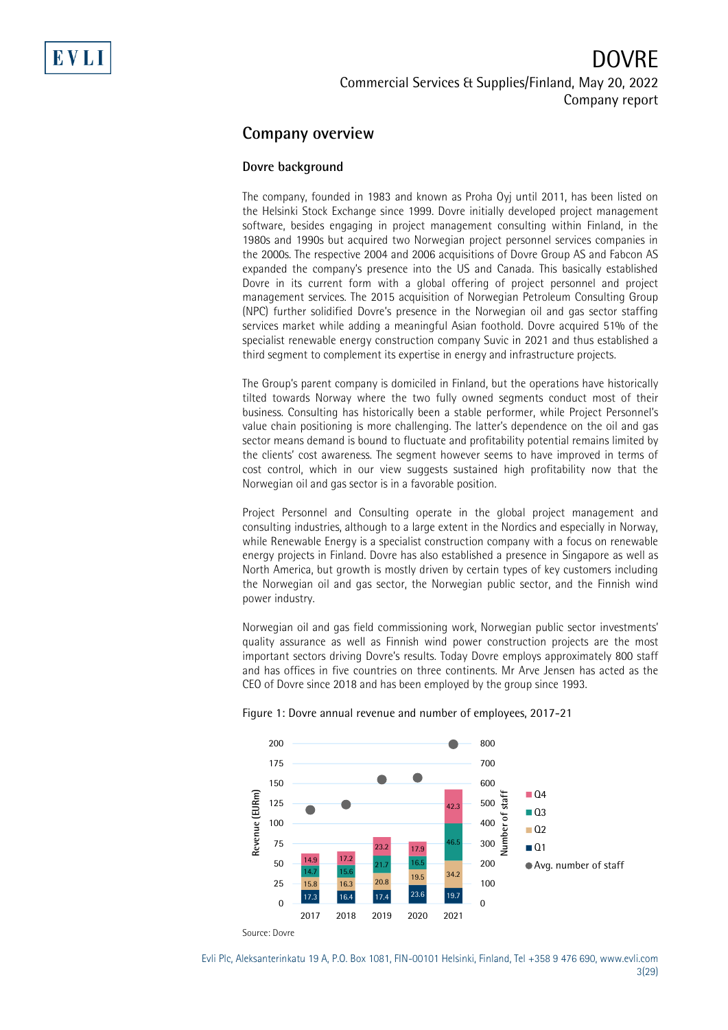### **Company overview**

### **Dovre background**

The company, founded in 1983 and known as Proha Oyj until 2011, has been listed on the Helsinki Stock Exchange since 1999. Dovre initially developed project management software, besides engaging in project management consulting within Finland, in the 1980s and 1990s but acquired two Norwegian project personnel services companies in the 2000s. The respective 2004 and 2006 acquisitions of Dovre Group AS and Fabcon AS expanded the company's presence into the US and Canada. This basically established Dovre in its current form with a global offering of project personnel and project management services. The 2015 acquisition of Norwegian Petroleum Consulting Group (NPC) further solidified Dovre's presence in the Norwegian oil and gas sector staffing services market while adding a meaningful Asian foothold. Dovre acquired 51% of the specialist renewable energy construction company Suvic in 2021 and thus established a third segment to complement its expertise in energy and infrastructure projects.

The Group's parent company is domiciled in Finland, but the operations have historically tilted towards Norway where the two fully owned segments conduct most of their business. Consulting has historically been a stable performer, while Project Personnel's value chain positioning is more challenging. The latter's dependence on the oil and gas sector means demand is bound to fluctuate and profitability potential remains limited by the clients' cost awareness. The segment however seems to have improved in terms of cost control, which in our view suggests sustained high profitability now that the Norwegian oil and gas sector is in a favorable position.

Project Personnel and Consulting operate in the global project management and consulting industries, although to a large extent in the Nordics and especially in Norway, while Renewable Energy is a specialist construction company with a focus on renewable energy projects in Finland. Dovre has also established a presence in Singapore as well as North America, but growth is mostly driven by certain types of key customers including the Norwegian oil and gas sector, the Norwegian public sector, and the Finnish wind power industry.

Norwegian oil and gas field commissioning work, Norwegian public sector investments' quality assurance as well as Finnish wind power construction projects are the most important sectors driving Dovre's results. Today Dovre employs approximately 800 staff and has offices in five countries on three continents. Mr Arve Jensen has acted as the CEO of Dovre since 2018 and has been employed by the group since 1993.



#### Figure 1: Dovre annual revenue and number of employees, 2017-21

Evli Plc, Aleksanterinkatu 19 A, P.O. Box 1081, FIN-00101 Helsinki, Finland, Tel +358 9 476 690, www.evli.com 3(29)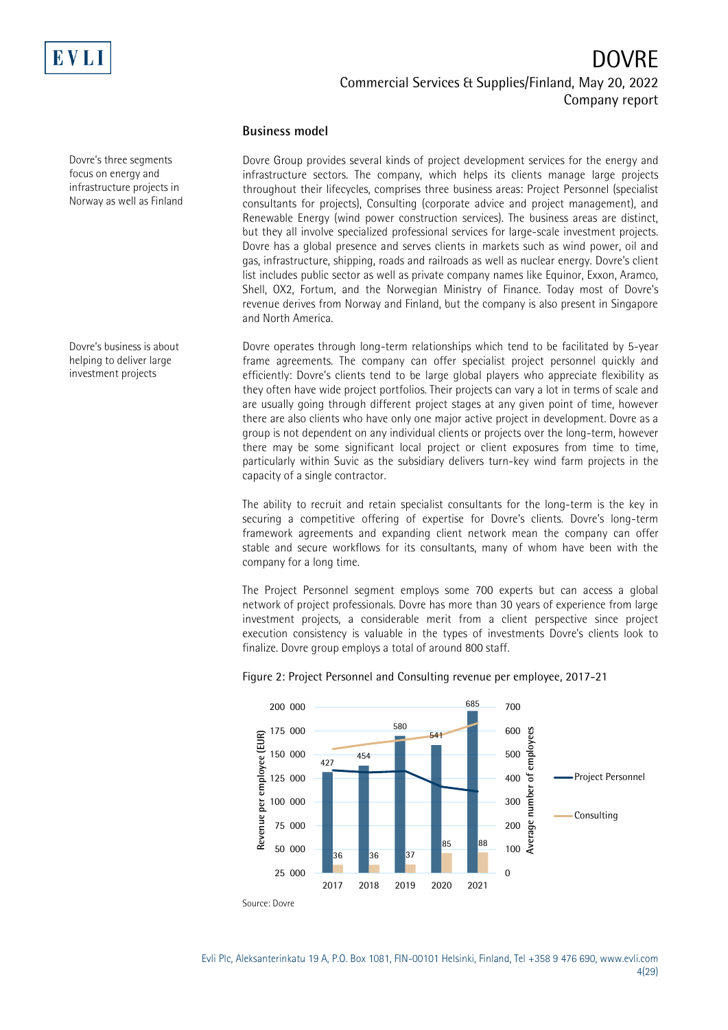

### **Business model**

Dovre Group provides several kinds of project development services for the energy and infrastructure sectors. The company, which helps its clients manage large projects throughout their lifecycles, comprises three business areas: Project Personnel (specialist consultants for projects), Consulting (corporate advice and project management), and Renewable Energy (wind power construction services). The business areas are distinct, but they all involve specialized professional services for large-scale investment projects. Dovre has a global presence and serves clients in markets such as wind power, oil and gas, infrastructure, shipping, roads and railroads as well as nuclear energy. Dovre's client list includes public sector as well as private company names like Equinor, Exxon, Aramco, Shell, OX2, Fortum, and the Norwegian Ministry of Finance. Today most of Dovre's revenue derives from Norway and Finland, but the company is also present in Singapore and North America.

Dovre operates through long-term relationships which tend to be facilitated by 5-year frame agreements. The company can offer specialist project personnel quickly and efficiently: Dovre's clients tend to be large global players who appreciate flexibility as they often have wide project portfolios. Their projects can vary a lot in terms of scale and are usually going through different project stages at any given point of time, however there are also clients who have only one major active project in development. Dovre as a group is not dependent on any individual clients or projects over the long-term, however there may be some significant local project or client exposures from time to time, particularly within Suvic as the subsidiary delivers turn-key wind farm projects in the capacity of a single contractor.

The ability to recruit and retain specialist consultants for the long-term is the key in securing a competitive offering of expertise for Dovre's clients. Dovre's long-term framework agreements and expanding client network mean the company can offer stable and secure workflows for its consultants, many of whom have been with the company for a long time.

The Project Personnel segment employs some 700 experts but can access a global network of project professionals. Dovre has more than 30 years of experience from large investment projects, a considerable merit from a client perspective since project execution consistency is valuable in the types of investments Dovre's clients look to finalize. Dovre group employs a total of around 800 staff.





Dovre's three segments focus on energy and infrastructure projects in Norway as well as Finland

Dovre's business is about helping to deliver large investment projects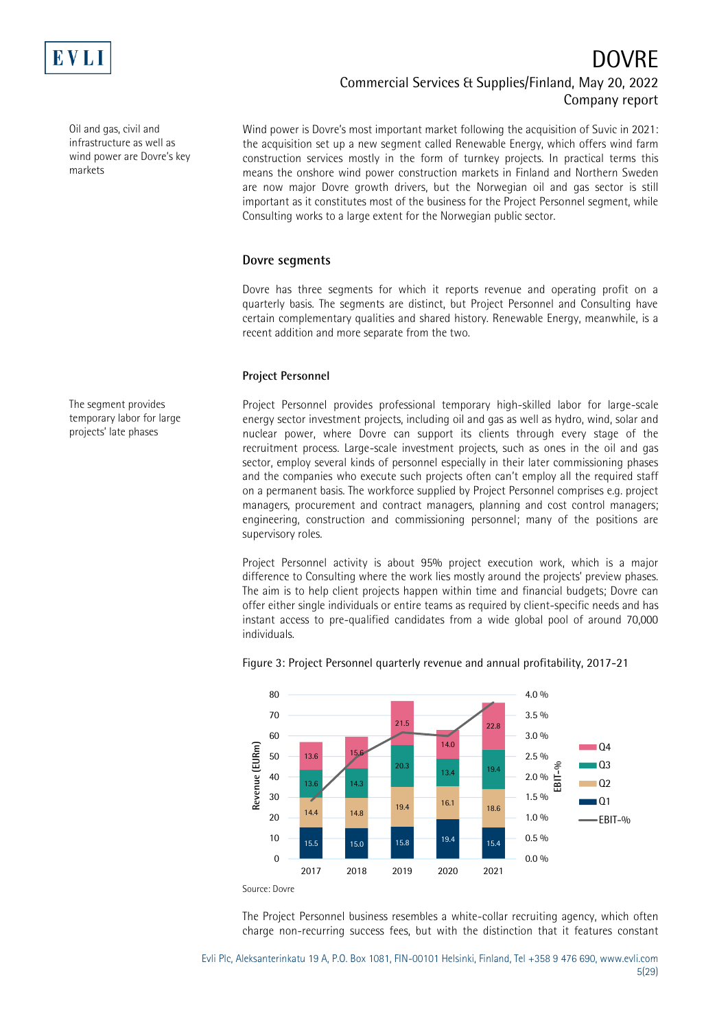

Oil and gas, civil and infrastructure as well as wind power are Dovre's key markets

Company report Wind power is Dovre's most important market following the acquisition of Suvic in 2021: the acquisition set up a new segment called Renewable Energy, which offers wind farm

Commercial Services & Supplies/Finland, May 20, 2022

DOVRE

construction services mostly in the form of turnkey projects. In practical terms this means the onshore wind power construction markets in Finland and Northern Sweden are now major Dovre growth drivers, but the Norwegian oil and gas sector is still important as it constitutes most of the business for the Project Personnel segment, while Consulting works to a large extent for the Norwegian public sector.

#### **Dovre segments**

Dovre has three segments for which it reports revenue and operating profit on a quarterly basis. The segments are distinct, but Project Personnel and Consulting have certain complementary qualities and shared history. Renewable Energy, meanwhile, is a recent addition and more separate from the two.

#### **Project Personnel**

Project Personnel provides professional temporary high-skilled labor for large-scale energy sector investment projects, including oil and gas as well as hydro, wind, solar and nuclear power, where Dovre can support its clients through every stage of the recruitment process. Large-scale investment projects, such as ones in the oil and gas sector, employ several kinds of personnel especially in their later commissioning phases and the companies who execute such projects often can't employ all the required staff on a permanent basis. The workforce supplied by Project Personnel comprises e.g. project managers, procurement and contract managers, planning and cost control managers; engineering, construction and commissioning personnel; many of the positions are supervisory roles.

Project Personnel activity is about 95% project execution work, which is a major difference to Consulting where the work lies mostly around the projects' preview phases. The aim is to help client projects happen within time and financial budgets; Dovre can offer either single individuals or entire teams as required by client-specific needs and has instant access to pre-qualified candidates from a wide global pool of around 70,000 individuals.



#### Figure 3: Project Personnel quarterly revenue and annual profitability, 2017-21

Source: Dovre

The Project Personnel business resembles a white-collar recruiting agency, which often charge non-recurring success fees, but with the distinction that it features constant

The segment provides temporary labor for large projects' late phases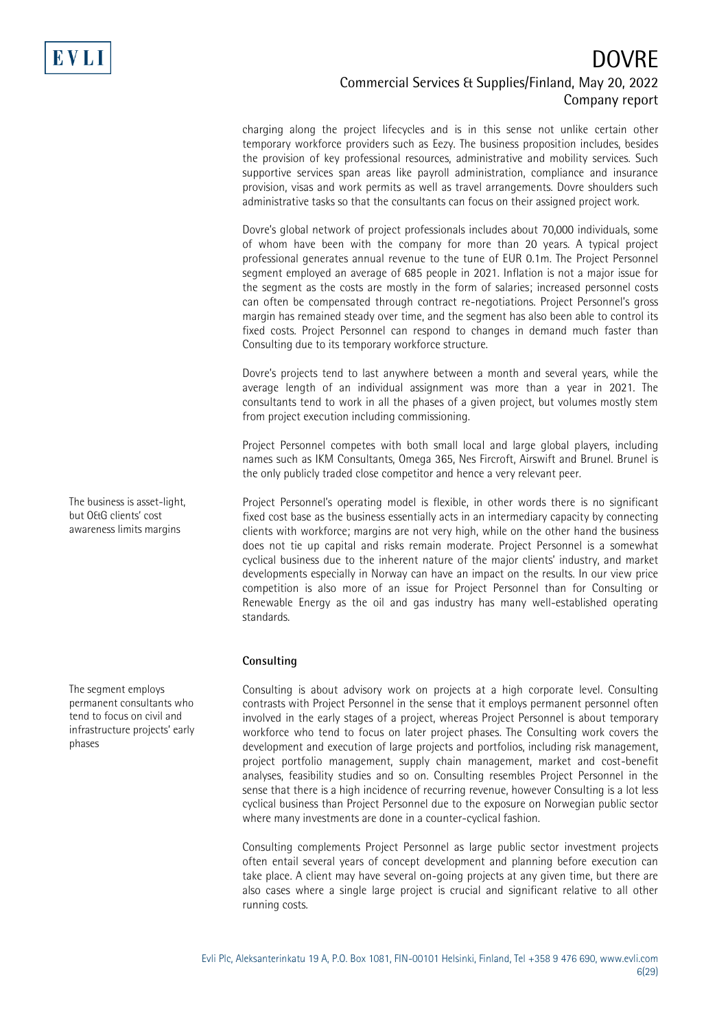charging along the project lifecycles and is in this sense not unlike certain other temporary workforce providers such as Eezy. The business proposition includes, besides the provision of key professional resources, administrative and mobility services. Such supportive services span areas like payroll administration, compliance and insurance provision, visas and work permits as well as travel arrangements. Dovre shoulders such administrative tasks so that the consultants can focus on their assigned project work.

Dovre's global network of project professionals includes about 70,000 individuals, some of whom have been with the company for more than 20 years. A typical project professional generates annual revenue to the tune of EUR 0.1m. The Project Personnel segment employed an average of 685 people in 2021. Inflation is not a major issue for the segment as the costs are mostly in the form of salaries; increased personnel costs can often be compensated through contract re-negotiations. Project Personnel's gross margin has remained steady over time, and the segment has also been able to control its fixed costs. Project Personnel can respond to changes in demand much faster than Consulting due to its temporary workforce structure.

Dovre's projects tend to last anywhere between a month and several years, while the average length of an individual assignment was more than a year in 2021. The consultants tend to work in all the phases of a given project, but volumes mostly stem from project execution including commissioning.

Project Personnel competes with both small local and large global players, including names such as IKM Consultants, Omega 365, Nes Fircroft, Airswift and Brunel. Brunel is the only publicly traded close competitor and hence a very relevant peer.

Project Personnel's operating model is flexible, in other words there is no significant fixed cost base as the business essentially acts in an intermediary capacity by connecting clients with workforce; margins are not very high, while on the other hand the business does not tie up capital and risks remain moderate. Project Personnel is a somewhat cyclical business due to the inherent nature of the major clients' industry, and market developments especially in Norway can have an impact on the results. In our view price competition is also more of an issue for Project Personnel than for Consulting or Renewable Energy as the oil and gas industry has many well-established operating standards.

#### **Consulting**

Consulting is about advisory work on projects at a high corporate level. Consulting contrasts with Project Personnel in the sense that it employs permanent personnel often involved in the early stages of a project, whereas Project Personnel is about temporary workforce who tend to focus on later project phases. The Consulting work covers the development and execution of large projects and portfolios, including risk management, project portfolio management, supply chain management, market and cost-benefit analyses, feasibility studies and so on. Consulting resembles Project Personnel in the sense that there is a high incidence of recurring revenue, however Consulting is a lot less cyclical business than Project Personnel due to the exposure on Norwegian public sector where many investments are done in a counter-cyclical fashion.

Consulting complements Project Personnel as large public sector investment projects often entail several years of concept development and planning before execution can take place. A client may have several on-going projects at any given time, but there are also cases where a single large project is crucial and significant relative to all other running costs.

The business is asset-light, but O&G clients' cost awareness limits margins

The segment employs permanent consultants who tend to focus on civil and infrastructure projects' early phases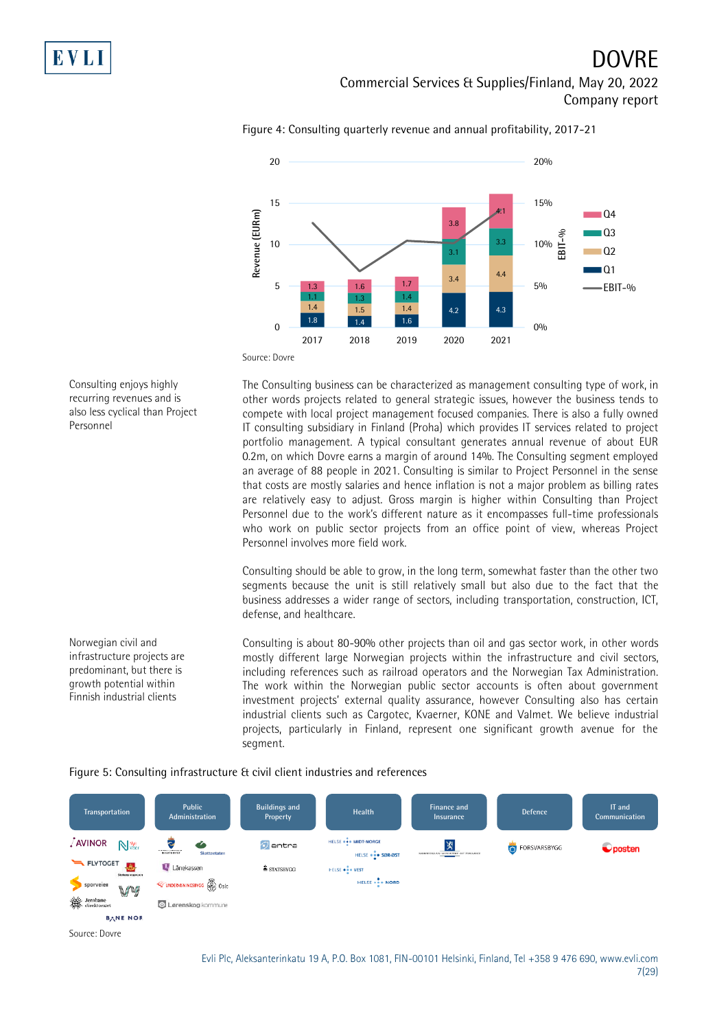

### Figure 4: Consulting quarterly revenue and annual profitability, 2017-21

Source: Dovre

Consulting enjoys highly recurring revenues and is also less cyclical than Project Personnel

Norwegian civil and infrastructure projects are predominant, but there is growth potential within Finnish industrial clients

The Consulting business can be characterized as management consulting type of work, in other words projects related to general strategic issues, however the business tends to compete with local project management focused companies. There is also a fully owned IT consulting subsidiary in Finland (Proha) which provides IT services related to project portfolio management. A typical consultant generates annual revenue of about EUR 0.2m, on which Dovre earns a margin of around 14%. The Consulting segment employed an average of 88 people in 2021. Consulting is similar to Project Personnel in the sense that costs are mostly salaries and hence inflation is not a major problem as billing rates are relatively easy to adjust. Gross margin is higher within Consulting than Project Personnel due to the work's different nature as it encompasses full-time professionals who work on public sector projects from an office point of view, whereas Project Personnel involves more field work.

Consulting should be able to grow, in the long term, somewhat faster than the other two segments because the unit is still relatively small but also due to the fact that the business addresses a wider range of sectors, including transportation, construction, ICT, defense, and healthcare.

Consulting is about 80-90% other projects than oil and gas sector work, in other words mostly different large Norwegian projects within the infrastructure and civil sectors, including references such as railroad operators and the Norwegian Tax Administration. The work within the Norwegian public sector accounts is often about government investment projects' external quality assurance, however Consulting also has certain industrial clients such as Cargotec, Kvaerner, KONE and Valmet. We believe industrial projects, particularly in Finland, represent one significant growth avenue for the segment.

#### Figure 5: Consulting infrastructure & civil client industries and references

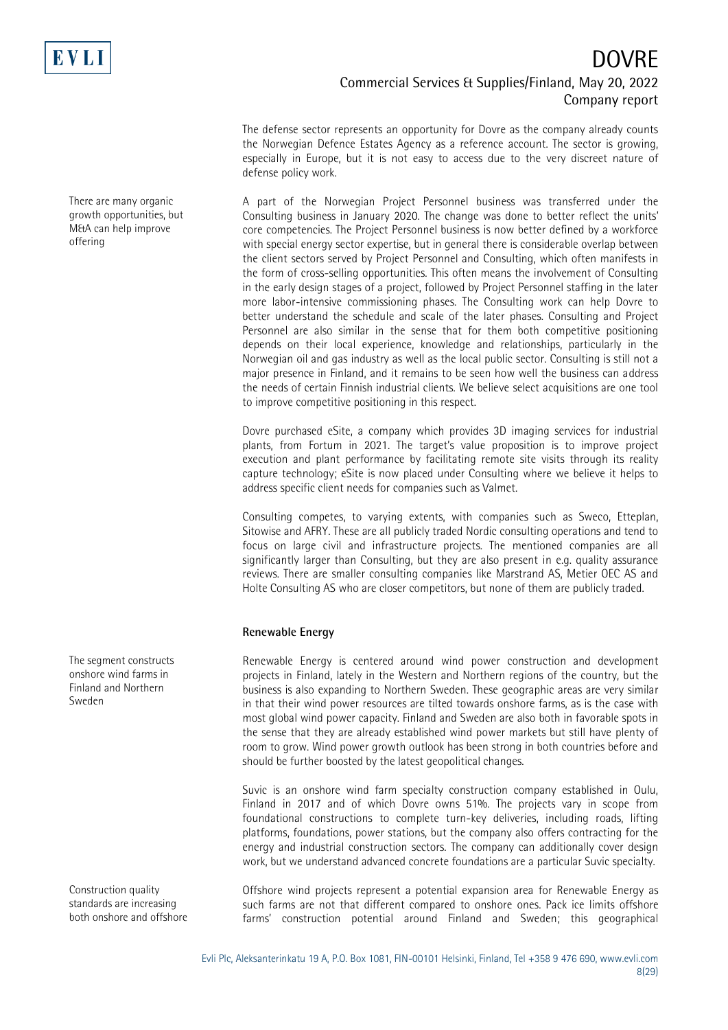

There are many organic growth opportunities, but M&A can help improve offering

Construction quality standards are increasing both onshore and offshore

The segment constructs onshore wind farms in Finland and Northern

Sweden

## DOVRE Commercial Services & Supplies/Finland, May 20, 2022 Company report

The defense sector represents an opportunity for Dovre as the company already counts the Norwegian Defence Estates Agency as a reference account. The sector is growing, especially in Europe, but it is not easy to access due to the very discreet nature of defense policy work.

A part of the Norwegian Project Personnel business was transferred under the Consulting business in January 2020. The change was done to better reflect the units' core competencies. The Project Personnel business is now better defined by a workforce with special energy sector expertise, but in general there is considerable overlap between the client sectors served by Project Personnel and Consulting, which often manifests in the form of cross-selling opportunities. This often means the involvement of Consulting in the early design stages of a project, followed by Project Personnel staffing in the later more labor-intensive commissioning phases. The Consulting work can help Dovre to better understand the schedule and scale of the later phases. Consulting and Project Personnel are also similar in the sense that for them both competitive positioning depends on their local experience, knowledge and relationships, particularly in the Norwegian oil and gas industry as well as the local public sector. Consulting is still not a major presence in Finland, and it remains to be seen how well the business can address the needs of certain Finnish industrial clients. We believe select acquisitions are one tool to improve competitive positioning in this respect.

Dovre purchased eSite, a company which provides 3D imaging services for industrial plants, from Fortum in 2021. The target's value proposition is to improve project execution and plant performance by facilitating remote site visits through its reality capture technology; eSite is now placed under Consulting where we believe it helps to address specific client needs for companies such as Valmet.

Consulting competes, to varying extents, with companies such as Sweco, Etteplan, Sitowise and AFRY. These are all publicly traded Nordic consulting operations and tend to focus on large civil and infrastructure projects. The mentioned companies are all significantly larger than Consulting, but they are also present in e.g. quality assurance reviews. There are smaller consulting companies like Marstrand AS, Metier OEC AS and Holte Consulting AS who are closer competitors, but none of them are publicly traded.

#### **Renewable Energy**

Renewable Energy is centered around wind power construction and development projects in Finland, lately in the Western and Northern regions of the country, but the business is also expanding to Northern Sweden. These geographic areas are very similar in that their wind power resources are tilted towards onshore farms, as is the case with most global wind power capacity. Finland and Sweden are also both in favorable spots in the sense that they are already established wind power markets but still have plenty of room to grow. Wind power growth outlook has been strong in both countries before and should be further boosted by the latest geopolitical changes.

Suvic is an onshore wind farm specialty construction company established in Oulu, Finland in 2017 and of which Dovre owns 51%. The projects vary in scope from foundational constructions to complete turn-key deliveries, including roads, lifting platforms, foundations, power stations, but the company also offers contracting for the energy and industrial construction sectors. The company can additionally cover design work, but we understand advanced concrete foundations are a particular Suvic specialty.

Offshore wind projects represent a potential expansion area for Renewable Energy as such farms are not that different compared to onshore ones. Pack ice limits offshore farms' construction potential around Finland and Sweden; this geographical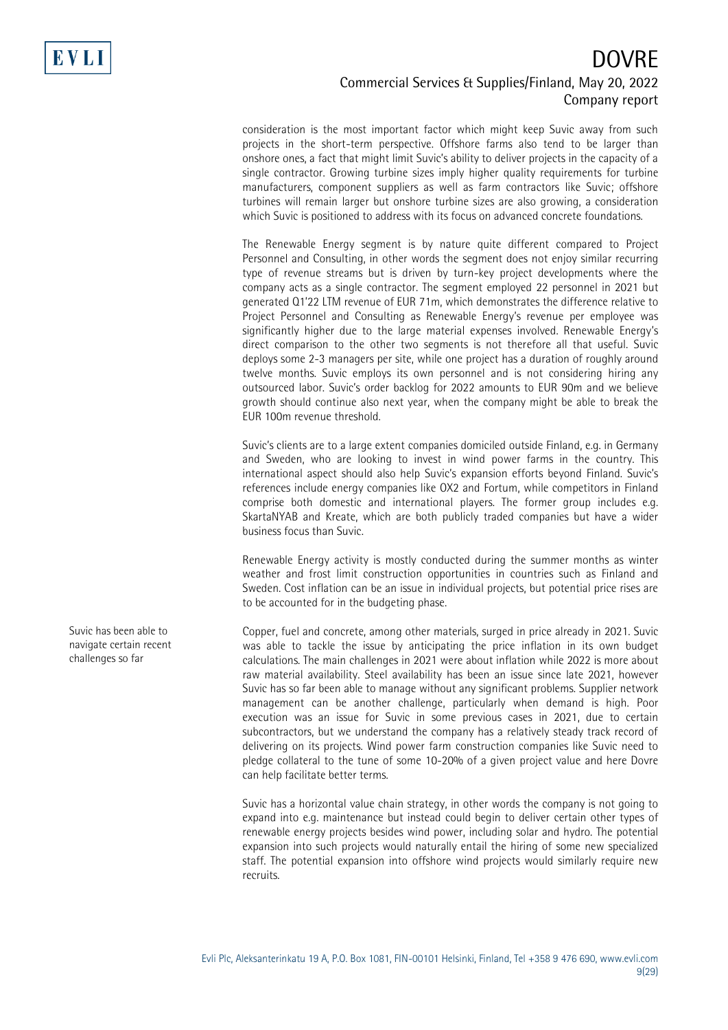consideration is the most important factor which might keep Suvic away from such projects in the short-term perspective. Offshore farms also tend to be larger than onshore ones, a fact that might limit Suvic's ability to deliver projects in the capacity of a single contractor. Growing turbine sizes imply higher quality requirements for turbine manufacturers, component suppliers as well as farm contractors like Suvic; offshore turbines will remain larger but onshore turbine sizes are also growing, a consideration which Suvic is positioned to address with its focus on advanced concrete foundations.

The Renewable Energy segment is by nature quite different compared to Project Personnel and Consulting, in other words the segment does not enjoy similar recurring type of revenue streams but is driven by turn-key project developments where the company acts as a single contractor. The segment employed 22 personnel in 2021 but generated Q1'22 LTM revenue of EUR 71m, which demonstrates the difference relative to Project Personnel and Consulting as Renewable Energy's revenue per employee was significantly higher due to the large material expenses involved. Renewable Energy's direct comparison to the other two segments is not therefore all that useful. Suvic deploys some 2-3 managers per site, while one project has a duration of roughly around twelve months. Suvic employs its own personnel and is not considering hiring any outsourced labor. Suvic's order backlog for 2022 amounts to EUR 90m and we believe growth should continue also next year, when the company might be able to break the EUR 100m revenue threshold.

Suvic's clients are to a large extent companies domiciled outside Finland, e.g. in Germany and Sweden, who are looking to invest in wind power farms in the country. This international aspect should also help Suvic's expansion efforts beyond Finland. Suvic's references include energy companies like OX2 and Fortum, while competitors in Finland comprise both domestic and international players. The former group includes e.g. SkartaNYAB and Kreate, which are both publicly traded companies but have a wider business focus than Suvic.

Renewable Energy activity is mostly conducted during the summer months as winter weather and frost limit construction opportunities in countries such as Finland and Sweden. Cost inflation can be an issue in individual projects, but potential price rises are to be accounted for in the budgeting phase.

Copper, fuel and concrete, among other materials, surged in price already in 2021. Suvic was able to tackle the issue by anticipating the price inflation in its own budget calculations. The main challenges in 2021 were about inflation while 2022 is more about raw material availability. Steel availability has been an issue since late 2021, however Suvic has so far been able to manage without any significant problems. Supplier network management can be another challenge, particularly when demand is high. Poor execution was an issue for Suvic in some previous cases in 2021, due to certain subcontractors, but we understand the company has a relatively steady track record of delivering on its projects. Wind power farm construction companies like Suvic need to pledge collateral to the tune of some 10-20% of a given project value and here Dovre can help facilitate better terms.

Suvic has a horizontal value chain strategy, in other words the company is not going to expand into e.g. maintenance but instead could begin to deliver certain other types of renewable energy projects besides wind power, including solar and hydro. The potential expansion into such projects would naturally entail the hiring of some new specialized staff. The potential expansion into offshore wind projects would similarly require new recruits.

Suvic has been able to navigate certain recent challenges so far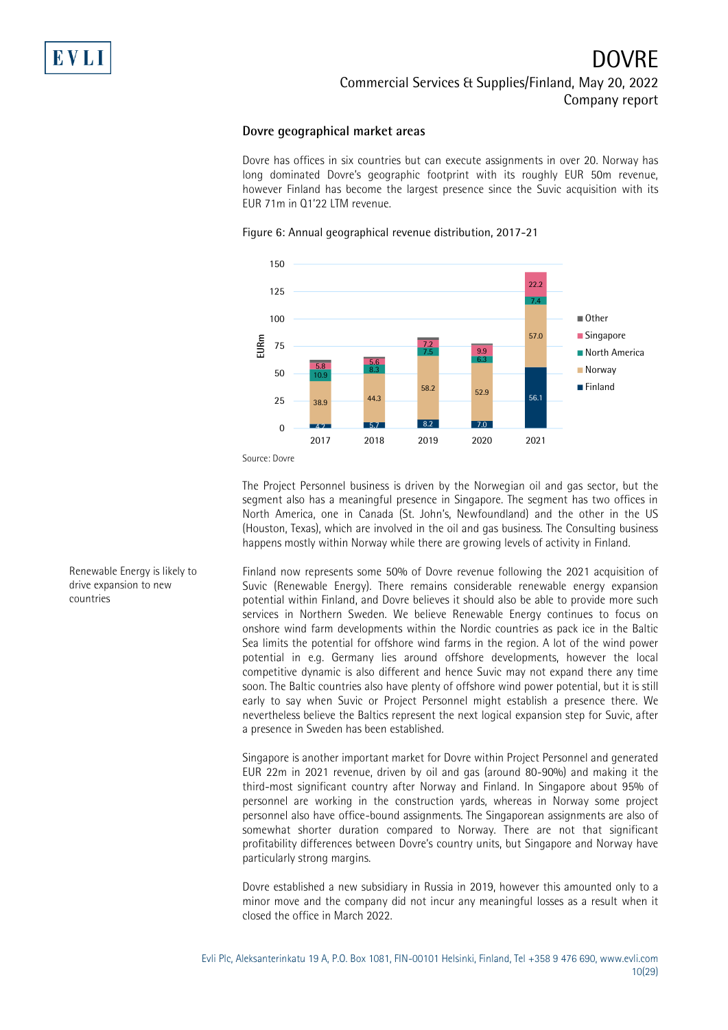#### **Dovre geographical market areas**

Dovre has offices in six countries but can execute assignments in over 20. Norway has long dominated Dovre's geographic footprint with its roughly EUR 50m revenue, however Finland has become the largest presence since the Suvic acquisition with its EUR 71m in Q1'22 LTM revenue.





The Project Personnel business is driven by the Norwegian oil and gas sector, but the segment also has a meaningful presence in Singapore. The segment has two offices in North America, one in Canada (St. John's, Newfoundland) and the other in the US (Houston, Texas), which are involved in the oil and gas business. The Consulting business happens mostly within Norway while there are growing levels of activity in Finland.

Finland now represents some 50% of Dovre revenue following the 2021 acquisition of Suvic (Renewable Energy). There remains considerable renewable energy expansion potential within Finland, and Dovre believes it should also be able to provide more such services in Northern Sweden. We believe Renewable Energy continues to focus on onshore wind farm developments within the Nordic countries as pack ice in the Baltic Sea limits the potential for offshore wind farms in the region. A lot of the wind power potential in e.g. Germany lies around offshore developments, however the local competitive dynamic is also different and hence Suvic may not expand there any time soon. The Baltic countries also have plenty of offshore wind power potential, but it is still early to say when Suvic or Project Personnel might establish a presence there. We nevertheless believe the Baltics represent the next logical expansion step for Suvic, after a presence in Sweden has been established.

Singapore is another important market for Dovre within Project Personnel and generated EUR 22m in 2021 revenue, driven by oil and gas (around 80-90%) and making it the third-most significant country after Norway and Finland. In Singapore about 95% of personnel are working in the construction yards, whereas in Norway some project personnel also have office-bound assignments. The Singaporean assignments are also of somewhat shorter duration compared to Norway. There are not that significant profitability differences between Dovre's country units, but Singapore and Norway have particularly strong margins.

Dovre established a new subsidiary in Russia in 2019, however this amounted only to a minor move and the company did not incur any meaningful losses as a result when it closed the office in March 2022.

Renewable Energy is likely to drive expansion to new countries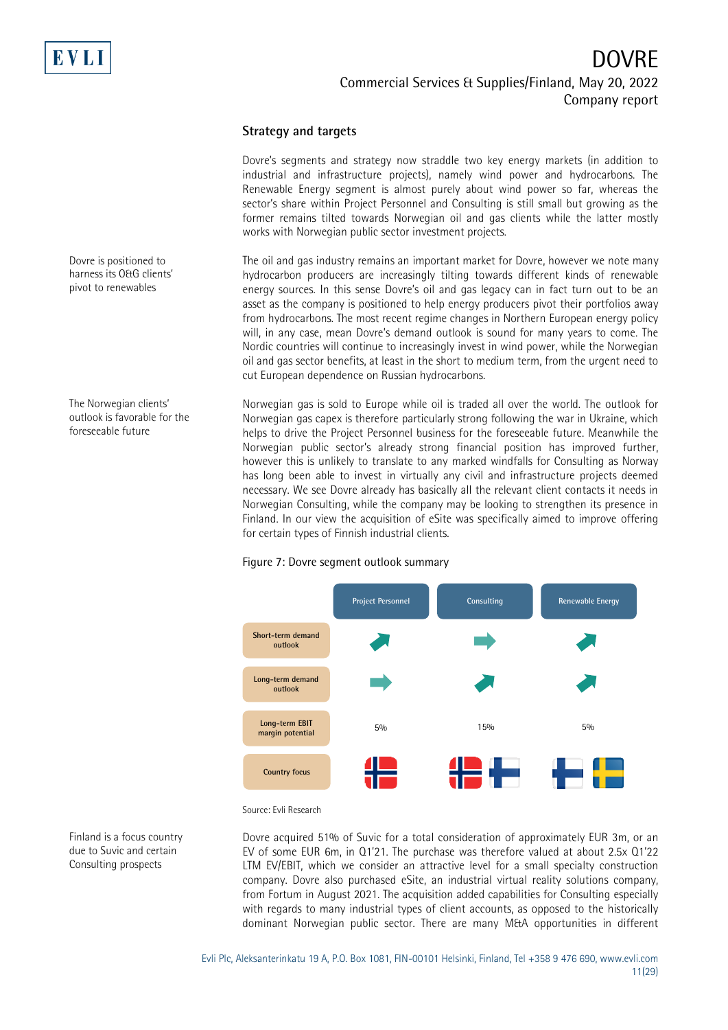### **Strategy and targets**

Dovre's segments and strategy now straddle two key energy markets (in addition to industrial and infrastructure projects), namely wind power and hydrocarbons. The Renewable Energy segment is almost purely about wind power so far, whereas the sector's share within Project Personnel and Consulting is still small but growing as the former remains tilted towards Norwegian oil and gas clients while the latter mostly works with Norwegian public sector investment projects.

The oil and gas industry remains an important market for Dovre, however we note many hydrocarbon producers are increasingly tilting towards different kinds of renewable energy sources. In this sense Dovre's oil and gas legacy can in fact turn out to be an asset as the company is positioned to help energy producers pivot their portfolios away from hydrocarbons. The most recent regime changes in Northern European energy policy will, in any case, mean Dovre's demand outlook is sound for many years to come. The Nordic countries will continue to increasingly invest in wind power, while the Norwegian oil and gas sector benefits, at least in the short to medium term, from the urgent need to cut European dependence on Russian hydrocarbons.

Norwegian gas is sold to Europe while oil is traded all over the world. The outlook for Norwegian gas capex is therefore particularly strong following the war in Ukraine, which helps to drive the Project Personnel business for the foreseeable future. Meanwhile the Norwegian public sector's already strong financial position has improved further, however this is unlikely to translate to any marked windfalls for Consulting as Norway has long been able to invest in virtually any civil and infrastructure projects deemed necessary. We see Dovre already has basically all the relevant client contacts it needs in Norwegian Consulting, while the company may be looking to strengthen its presence in Finland. In our view the acquisition of eSite was specifically aimed to improve offering for certain types of Finnish industrial clients.

#### Figure 7: Dovre segment outlook summary



Source: Evli Research

Dovre acquired 51% of Suvic for a total consideration of approximately EUR 3m, or an EV of some EUR 6m, in Q1'21. The purchase was therefore valued at about 2.5x Q1'22 LTM EV/EBIT, which we consider an attractive level for a small specialty construction company. Dovre also purchased eSite, an industrial virtual reality solutions company, from Fortum in August 2021. The acquisition added capabilities for Consulting especially with regards to many industrial types of client accounts, as opposed to the historically dominant Norwegian public sector. There are many M&A opportunities in different

Dovre is positioned to harness its O&G clients' pivot to renewables

The Norwegian clients' outlook is favorable for the foreseeable future

Finland is a focus country due to Suvic and certain Consulting prospects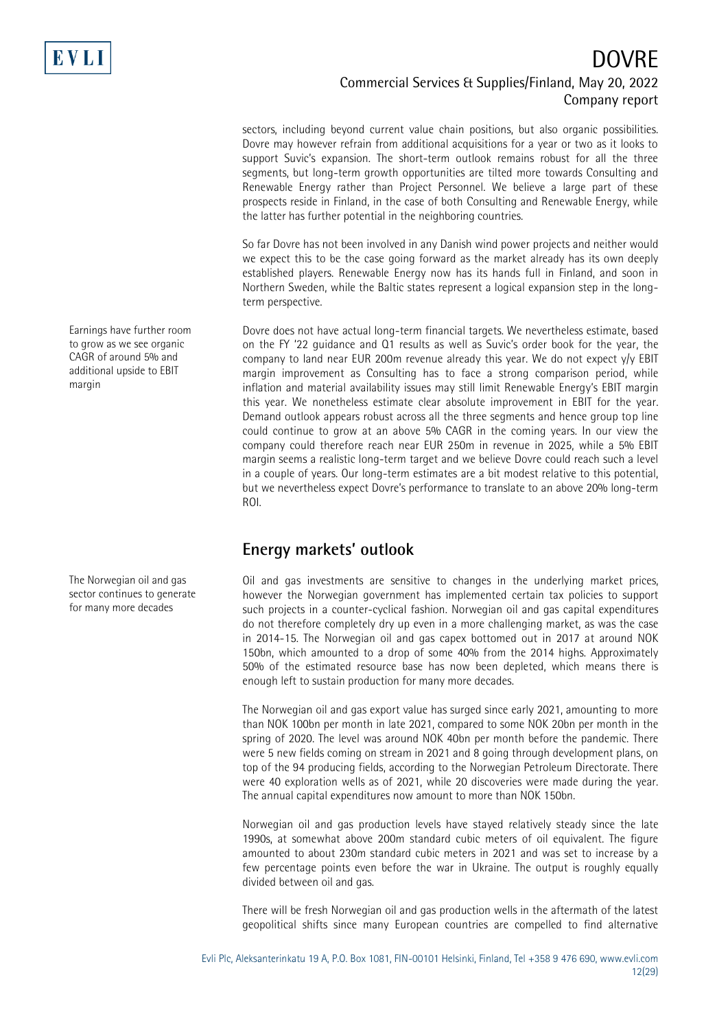sectors, including beyond current value chain positions, but also organic possibilities. Dovre may however refrain from additional acquisitions for a year or two as it looks to support Suvic's expansion. The short-term outlook remains robust for all the three segments, but long-term growth opportunities are tilted more towards Consulting and Renewable Energy rather than Project Personnel. We believe a large part of these prospects reside in Finland, in the case of both Consulting and Renewable Energy, while the latter has further potential in the neighboring countries.

So far Dovre has not been involved in any Danish wind power projects and neither would we expect this to be the case going forward as the market already has its own deeply established players. Renewable Energy now has its hands full in Finland, and soon in Northern Sweden, while the Baltic states represent a logical expansion step in the longterm perspective.

Dovre does not have actual long-term financial targets. We nevertheless estimate, based on the FY '22 guidance and Q1 results as well as Suvic's order book for the year, the company to land near EUR 200m revenue already this year. We do not expect y/y EBIT margin improvement as Consulting has to face a strong comparison period, while inflation and material availability issues may still limit Renewable Energy's EBIT margin this year. We nonetheless estimate clear absolute improvement in EBIT for the year. Demand outlook appears robust across all the three segments and hence group top line could continue to grow at an above 5% CAGR in the coming years. In our view the company could therefore reach near EUR 250m in revenue in 2025, while a 5% EBIT margin seems a realistic long-term target and we believe Dovre could reach such a level in a couple of years. Our long-term estimates are a bit modest relative to this potential, but we nevertheless expect Dovre's performance to translate to an above 20% long-term ROI.

## **Energy markets' outlook**

Oil and gas investments are sensitive to changes in the underlying market prices, however the Norwegian government has implemented certain tax policies to support such projects in a counter-cyclical fashion. Norwegian oil and gas capital expenditures do not therefore completely dry up even in a more challenging market, as was the case in 2014-15. The Norwegian oil and gas capex bottomed out in 2017 at around NOK 150bn, which amounted to a drop of some 40% from the 2014 highs. Approximately 50% of the estimated resource base has now been depleted, which means there is enough left to sustain production for many more decades.

The Norwegian oil and gas export value has surged since early 2021, amounting to more than NOK 100bn per month in late 2021, compared to some NOK 20bn per month in the spring of 2020. The level was around NOK 40bn per month before the pandemic. There were 5 new fields coming on stream in 2021 and 8 going through development plans, on top of the 94 producing fields, according to the Norwegian Petroleum Directorate. There were 40 exploration wells as of 2021, while 20 discoveries were made during the year. The annual capital expenditures now amount to more than NOK 150bn.

Norwegian oil and gas production levels have stayed relatively steady since the late 1990s, at somewhat above 200m standard cubic meters of oil equivalent. The figure amounted to about 230m standard cubic meters in 2021 and was set to increase by a few percentage points even before the war in Ukraine. The output is roughly equally divided between oil and gas.

There will be fresh Norwegian oil and gas production wells in the aftermath of the latest geopolitical shifts since many European countries are compelled to find alternative

Earnings have further room to grow as we see organic CAGR of around 5% and additional upside to EBIT margin

The Norwegian oil and gas sector continues to generate for many more decades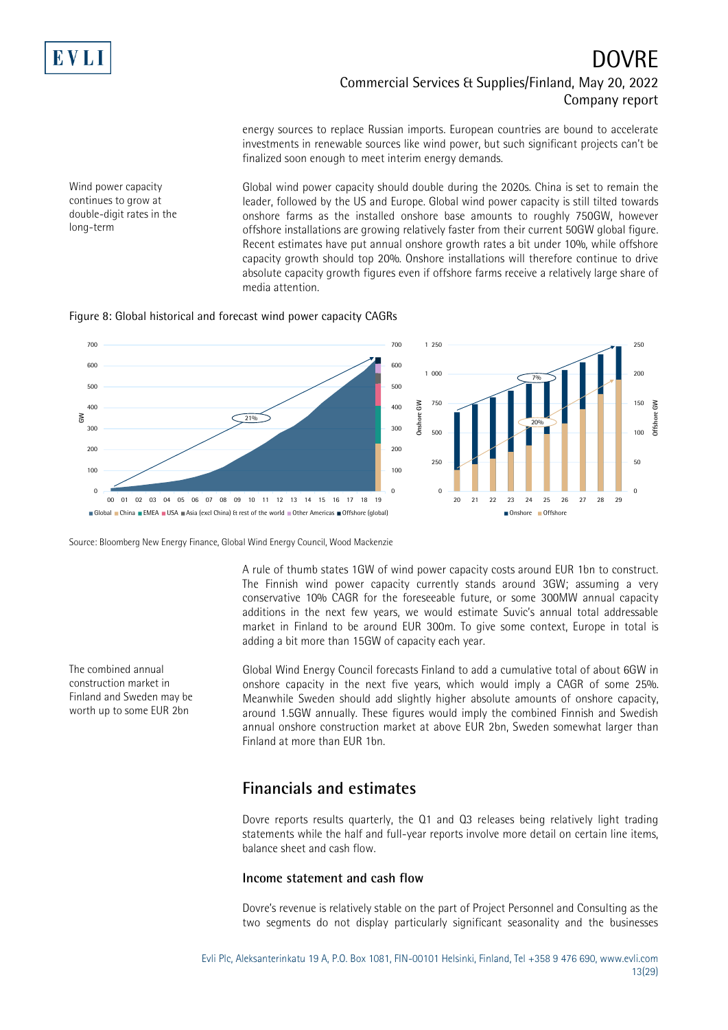

Wind power capacity continues to grow at double-digit rates in the

long-term

## DOVRE Commercial Services & Supplies/Finland, May 20, 2022 Company report

energy sources to replace Russian imports. European countries are bound to accelerate investments in renewable sources like wind power, but such significant projects can't be finalized soon enough to meet interim energy demands.

Global wind power capacity should double during the 2020s. China is set to remain the leader, followed by the US and Europe. Global wind power capacity is still tilted towards onshore farms as the installed onshore base amounts to roughly 750GW, however offshore installations are growing relatively faster from their current 50GW global figure. Recent estimates have put annual onshore growth rates a bit under 10%, while offshore capacity growth should top 20%. Onshore installations will therefore continue to drive absolute capacity growth figures even if offshore farms receive a relatively large share of media attention.





Source: Bloomberg New Energy Finance, Global Wind Energy Council, Wood Mackenzie

A rule of thumb states 1GW of wind power capacity costs around EUR 1bn to construct. The Finnish wind power capacity currently stands around 3GW; assuming a very conservative 10% CAGR for the foreseeable future, or some 300MW annual capacity additions in the next few years, we would estimate Suvic's annual total addressable market in Finland to be around EUR 300m. To give some context, Europe in total is adding a bit more than 15GW of capacity each year.

Global Wind Energy Council forecasts Finland to add a cumulative total of about 6GW in onshore capacity in the next five years, which would imply a CAGR of some 25%. Meanwhile Sweden should add slightly higher absolute amounts of onshore capacity, around 1.5GW annually. These figures would imply the combined Finnish and Swedish annual onshore construction market at above EUR 2bn, Sweden somewhat larger than Finland at more than EUR 1bn.

### **Financials and estimates**

Dovre reports results quarterly, the Q1 and Q3 releases being relatively light trading statements while the half and full-year reports involve more detail on certain line items, balance sheet and cash flow.

#### **Income statement and cash flow**

Dovre's revenue is relatively stable on the part of Project Personnel and Consulting as the two segments do not display particularly significant seasonality and the businesses

The combined annual construction market in Finland and Sweden may be worth up to some EUR 2bn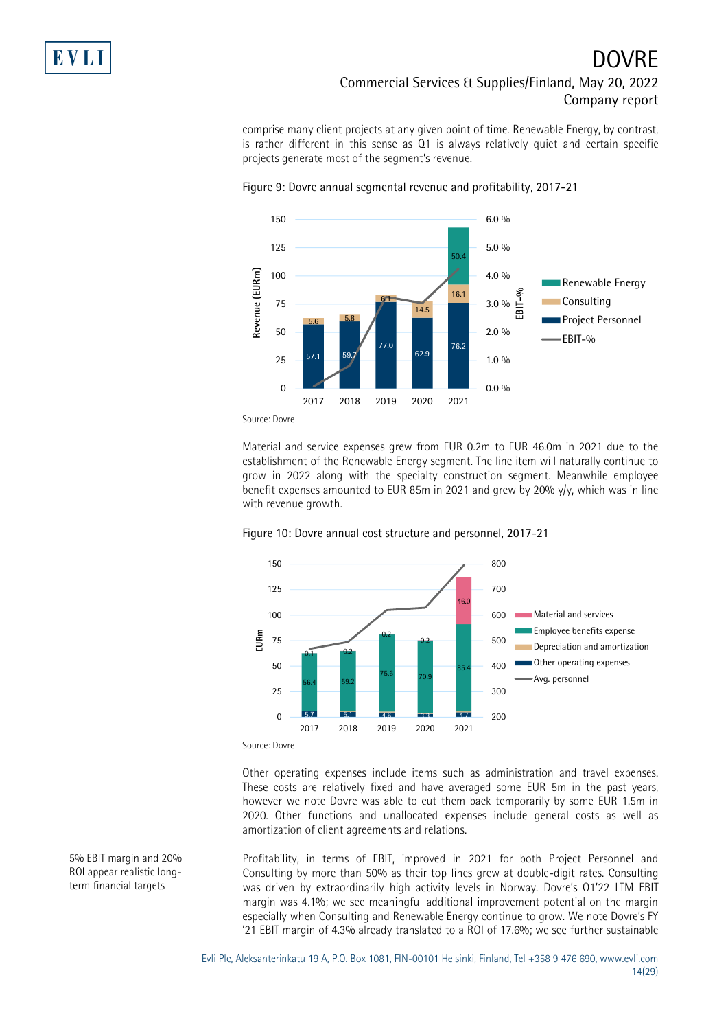

comprise many client projects at any given point of time. Renewable Energy, by contrast, is rather different in this sense as Q1 is always relatively quiet and certain specific projects generate most of the segment's revenue.



Figure 9: Dovre annual segmental revenue and profitability, 2017-21

Source: Dovre

Material and service expenses grew from EUR 0.2m to EUR 46.0m in 2021 due to the establishment of the Renewable Energy segment. The line item will naturally continue to grow in 2022 along with the specialty construction segment. Meanwhile employee benefit expenses amounted to EUR 85m in 2021 and grew by 20% y/y, which was in line with revenue growth.





Source: Dovre

Other operating expenses include items such as administration and travel expenses. These costs are relatively fixed and have averaged some EUR 5m in the past years, however we note Dovre was able to cut them back temporarily by some EUR 1.5m in 2020. Other functions and unallocated expenses include general costs as well as amortization of client agreements and relations.

Profitability, in terms of EBIT, improved in 2021 for both Project Personnel and Consulting by more than 50% as their top lines grew at double-digit rates. Consulting was driven by extraordinarily high activity levels in Norway. Dovre's Q1'22 LTM EBIT margin was 4.1%; we see meaningful additional improvement potential on the margin especially when Consulting and Renewable Energy continue to grow. We note Dovre's FY '21 EBIT margin of 4.3% already translated to a ROI of 17.6%; we see further sustainable

5% EBIT margin and 20% ROI appear realistic longterm financial targets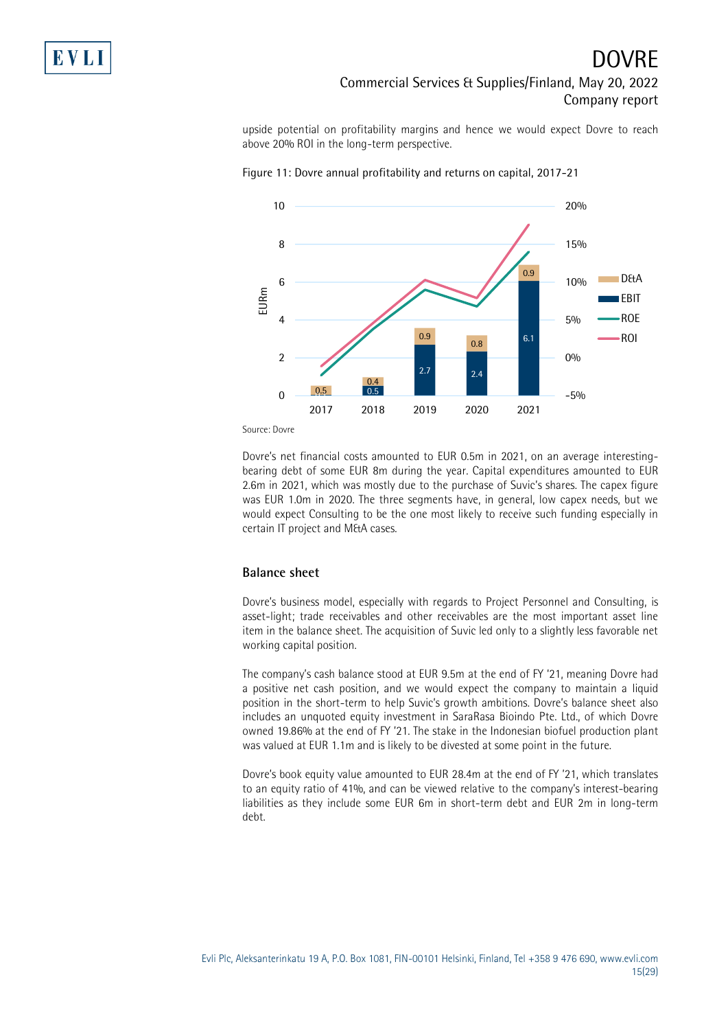

upside potential on profitability margins and hence we would expect Dovre to reach above 20% ROI in the long-term perspective.

Figure 11: Dovre annual profitability and returns on capital, 2017-21



Source: Dovre

Dovre's net financial costs amounted to EUR 0.5m in 2021, on an average interestingbearing debt of some EUR 8m during the year. Capital expenditures amounted to EUR 2.6m in 2021, which was mostly due to the purchase of Suvic's shares. The capex figure was EUR 1.0m in 2020. The three segments have, in general, low capex needs, but we would expect Consulting to be the one most likely to receive such funding especially in certain IT project and M&A cases.

#### **Balance sheet**

Dovre's business model, especially with regards to Project Personnel and Consulting, is asset-light; trade receivables and other receivables are the most important asset line item in the balance sheet. The acquisition of Suvic led only to a slightly less favorable net working capital position.

The company's cash balance stood at EUR 9.5m at the end of FY '21, meaning Dovre had a positive net cash position, and we would expect the company to maintain a liquid position in the short-term to help Suvic's growth ambitions. Dovre's balance sheet also includes an unquoted equity investment in SaraRasa Bioindo Pte. Ltd., of which Dovre owned 19.86% at the end of FY '21. The stake in the Indonesian biofuel production plant was valued at EUR 1.1m and is likely to be divested at some point in the future.

Dovre's book equity value amounted to EUR 28.4m at the end of FY '21, which translates to an equity ratio of 41%, and can be viewed relative to the company's interest-bearing liabilities as they include some EUR 6m in short-term debt and EUR 2m in long-term debt.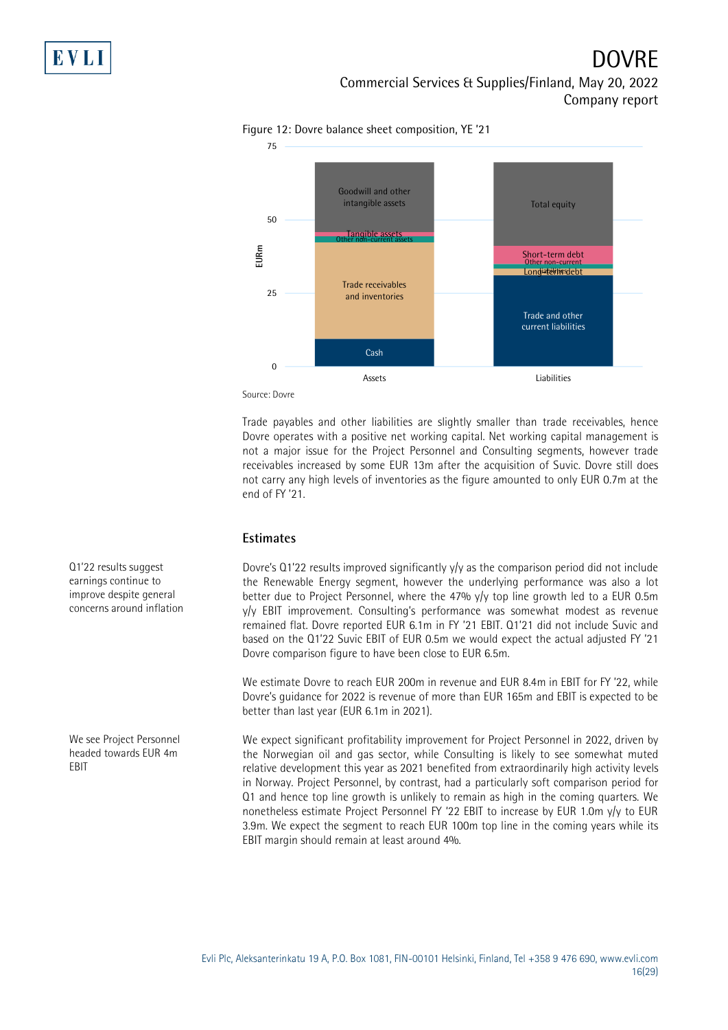

Figure 12: Dovre balance sheet composition, YE '21

Source: Dovre

Trade payables and other liabilities are slightly smaller than trade receivables, hence Dovre operates with a positive net working capital. Net working capital management is not a major issue for the Project Personnel and Consulting segments, however trade receivables increased by some EUR 13m after the acquisition of Suvic. Dovre still does not carry any high levels of inventories as the figure amounted to only EUR 0.7m at the end of FY '21.

#### **Estimates**

Dovre's Q1'22 results improved significantly y/y as the comparison period did not include the Renewable Energy segment, however the underlying performance was also a lot better due to Project Personnel, where the 47% y/y top line growth led to a EUR 0.5m y/y EBIT improvement. Consulting's performance was somewhat modest as revenue remained flat. Dovre reported EUR 6.1m in FY '21 EBIT. Q1'21 did not include Suvic and based on the Q1'22 Suvic EBIT of EUR 0.5m we would expect the actual adjusted FY '21 Dovre comparison figure to have been close to EUR 6.5m.

We estimate Dovre to reach EUR 200m in revenue and EUR 8.4m in EBIT for FY '22, while Dovre's guidance for 2022 is revenue of more than EUR 165m and EBIT is expected to be better than last year (EUR 6.1m in 2021).

We expect significant profitability improvement for Project Personnel in 2022, driven by the Norwegian oil and gas sector, while Consulting is likely to see somewhat muted relative development this year as 2021 benefited from extraordinarily high activity levels in Norway. Project Personnel, by contrast, had a particularly soft comparison period for Q1 and hence top line growth is unlikely to remain as high in the coming quarters. We nonetheless estimate Project Personnel FY '22 EBIT to increase by EUR 1.0m y/y to EUR 3.9m. We expect the segment to reach EUR 100m top line in the coming years while its EBIT margin should remain at least around 4%.

Q1'22 results suggest earnings continue to improve despite general concerns around inflation

We see Project Personnel headed towards EUR 4m EBIT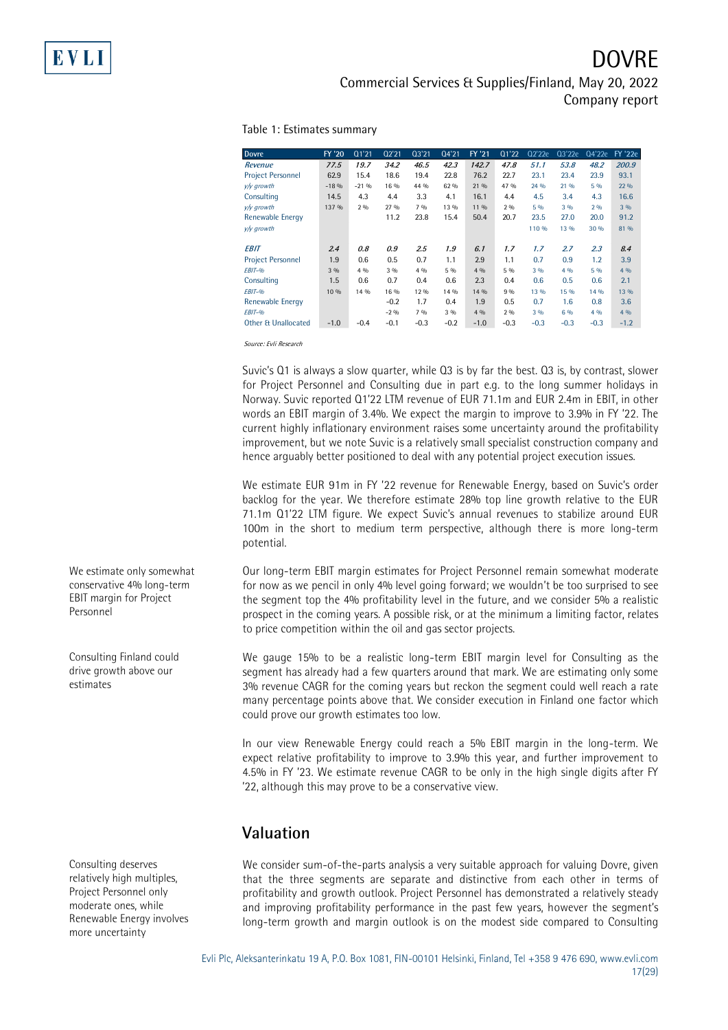| Dovre                          | <b>FY '20</b> | 01'21    | 02'21  | 03'21            | 04'21  | FY '21 | Q1'22          | 02'22e | Q3'22e | Q4'22e | <b>FY '22e</b> |
|--------------------------------|---------------|----------|--------|------------------|--------|--------|----------------|--------|--------|--------|----------------|
| Revenue                        | 77.5          | 19.7     | 34.2   | 46.5             | 42.3   | 142.7  | 47.8           | 51.1   | 53.8   | 48.2   | 200.9          |
| <b>Project Personnel</b>       | 62.9          | 15.4     | 18.6   | 19.4             | 22.8   | 76.2   | 22.7           | 23.1   | 23.4   | 23.9   | 93.1           |
| v/y growth                     | $-18%$        | $-21.96$ | 16 %   | 44 %             | 62 %   | 21 %   | 47 %           | 24 %   | 21 %   | 5 %    | 22 %           |
| Consulting                     | 14.5          | 4.3      | 4.4    | 3.3              | 4.1    | 16.1   | 4.4            | 4.5    | 3.4    | 4.3    | 16.6           |
| y/y growth                     | 137 %         | 2 %      | 27 %   | 7.9 <sub>0</sub> | 13 %   | 11 %   | 2 <sub>0</sub> | 5 %    | 3 %    | 2%     | $3\%$          |
| Renewable Energy               |               |          | 11.2   | 23.8             | 15.4   | 50.4   | 20.7           | 23.5   | 27.0   | 20.0   | 91.2           |
| v/y growth                     |               |          |        |                  |        |        |                | 110 %  | 13 %   | 30 %   | 81 %           |
|                                |               |          |        |                  |        |        |                |        |        |        |                |
| <b>EBIT</b>                    | 2.4           | 0.8      | 0.9    | 2.5              | 1.9    | 6.1    | 1.7            | 1.7    | 2.7    | 2.3    | 8.4            |
| <b>Project Personnel</b>       | 1.9           | 0.6      | 0.5    | 0.7              | 1.1    | 2.9    | 1.1            | 0.7    | 0.9    | 1.2    | 3.9            |
| $EBIT-96$                      | 3 %           | 4 %      | 3.96   | $4\frac{0}{0}$   | 5 %    | 4 %    | 5 %            | 3 %    | 4 %    | 5 %    | $4\%$          |
| Consulting                     | 1.5           | 0.6      | 0.7    | 0.4              | 0.6    | 2.3    | 0.4            | 0.6    | 0.5    | 0.6    | 2.1            |
| $EBIT-96$                      | 10 %          | 14 %     | 16 %   | 12 %             | 14 %   | 14 %   | 9 <sub>0</sub> | 13 %   | 15 %   | 14 %   | 13 %           |
| Renewable Energy               |               |          | $-0.2$ | 1.7              | 0.4    | 1.9    | 0.5            | 0.7    | 1.6    | 0.8    | 3.6            |
| $EBIT-96$                      |               |          | $-2\%$ | 7.96             | 3 %    | 4 %    | 2 <sub>0</sub> | 3 %    | 6 %    | 4 %    | $4\%$          |
| <b>Other &amp; Unallocated</b> | $-1.0$        | $-0.4$   | $-0.1$ | $-0.3$           | $-0.2$ | $-1.0$ | $-0.3$         | $-0.3$ | $-0.3$ | $-0.3$ | $-1.2$         |

#### Table 1: Estimates summary

Source: Evli Research

Suvic's Q1 is always a slow quarter, while Q3 is by far the best. Q3 is, by contrast, slower for Project Personnel and Consulting due in part e.g. to the long summer holidays in Norway. Suvic reported Q1'22 LTM revenue of EUR 71.1m and EUR 2.4m in EBIT, in other words an EBIT margin of 3.4%. We expect the margin to improve to 3.9% in FY '22. The current highly inflationary environment raises some uncertainty around the profitability improvement, but we note Suvic is a relatively small specialist construction company and hence arguably better positioned to deal with any potential project execution issues.

We estimate EUR 91m in FY '22 revenue for Renewable Energy, based on Suvic's order backlog for the year. We therefore estimate 28% top line growth relative to the EUR 71.1m Q1'22 LTM figure. We expect Suvic's annual revenues to stabilize around EUR 100m in the short to medium term perspective, although there is more long-term potential.

Our long-term EBIT margin estimates for Project Personnel remain somewhat moderate for now as we pencil in only 4% level going forward; we wouldn't be too surprised to see the segment top the 4% profitability level in the future, and we consider 5% a realistic prospect in the coming years. A possible risk, or at the minimum a limiting factor, relates to price competition within the oil and gas sector projects.

We gauge 15% to be a realistic long-term EBIT margin level for Consulting as the segment has already had a few quarters around that mark. We are estimating only some 3% revenue CAGR for the coming years but reckon the segment could well reach a rate many percentage points above that. We consider execution in Finland one factor which could prove our growth estimates too low.

In our view Renewable Energy could reach a 5% EBIT margin in the long-term. We expect relative profitability to improve to 3.9% this year, and further improvement to 4.5% in FY '23. We estimate revenue CAGR to be only in the high single digits after FY '22, although this may prove to be a conservative view.

## **Valuation**

We consider sum-of-the-parts analysis a very suitable approach for valuing Dovre, given that the three segments are separate and distinctive from each other in terms of profitability and growth outlook. Project Personnel has demonstrated a relatively steady and improving profitability performance in the past few years, however the segment's long-term growth and margin outlook is on the modest side compared to Consulting

We estimate only somewhat conservative 4% long-term EBIT margin for Project Personnel

Consulting Finland could drive growth above our estimates

Consulting deserves relatively high multiples, Project Personnel only moderate ones, while Renewable Energy involves more uncertainty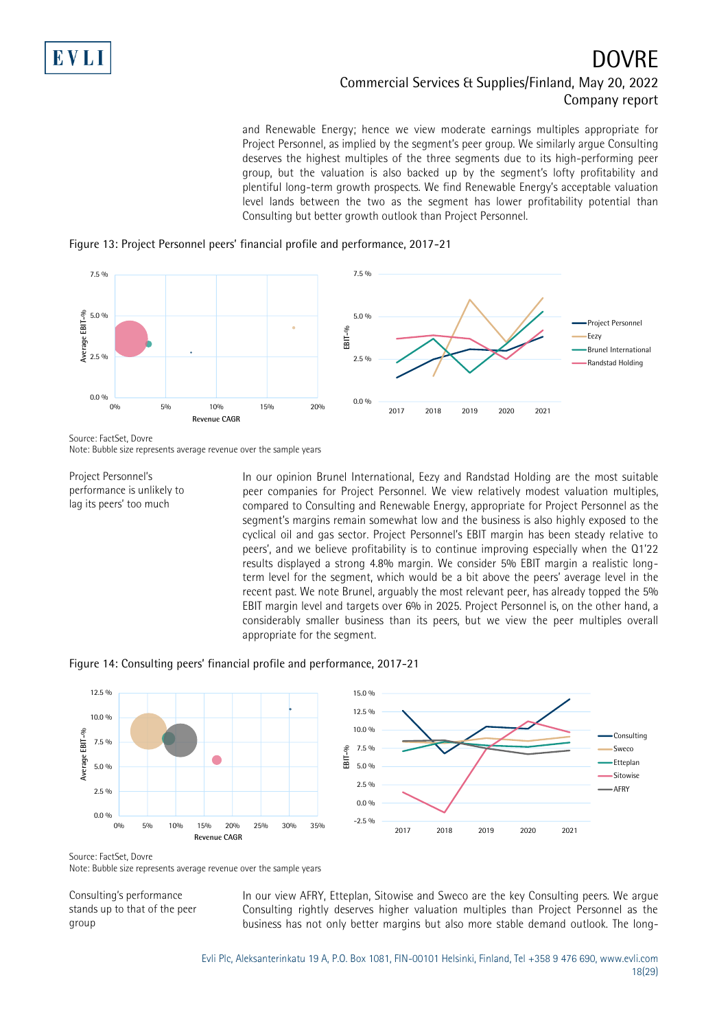and Renewable Energy; hence we view moderate earnings multiples appropriate for Project Personnel, as implied by the segment's peer group. We similarly argue Consulting deserves the highest multiples of the three segments due to its high-performing peer group, but the valuation is also backed up by the segment's lofty profitability and plentiful long-term growth prospects. We find Renewable Energy's acceptable valuation level lands between the two as the segment has lower profitability potential than Consulting but better growth outlook than Project Personnel.





Source: FactSet, Dovre

Note: Bubble size represents average revenue over the sample years

Project Personnel's performance is unlikely to lag its peers' too much

In our opinion Brunel International, Eezy and Randstad Holding are the most suitable peer companies for Project Personnel. We view relatively modest valuation multiples, compared to Consulting and Renewable Energy, appropriate for Project Personnel as the segment's margins remain somewhat low and the business is also highly exposed to the cyclical oil and gas sector. Project Personnel's EBIT margin has been steady relative to peers', and we believe profitability is to continue improving especially when the Q1'22 results displayed a strong 4.8% margin. We consider 5% EBIT margin a realistic longterm level for the segment, which would be a bit above the peers' average level in the recent past. We note Brunel, arguably the most relevant peer, has already topped the 5% EBIT margin level and targets over 6% in 2025. Project Personnel is, on the other hand, a considerably smaller business than its peers, but we view the peer multiples overall appropriate for the segment.





Source: FactSet, Dovre Note: Bubble size represents average revenue over the sample years

Consulting's performance

stands up to that of the peer group

In our view AFRY, Etteplan, Sitowise and Sweco are the key Consulting peers. We argue Consulting rightly deserves higher valuation multiples than Project Personnel as the business has not only better margins but also more stable demand outlook. The long-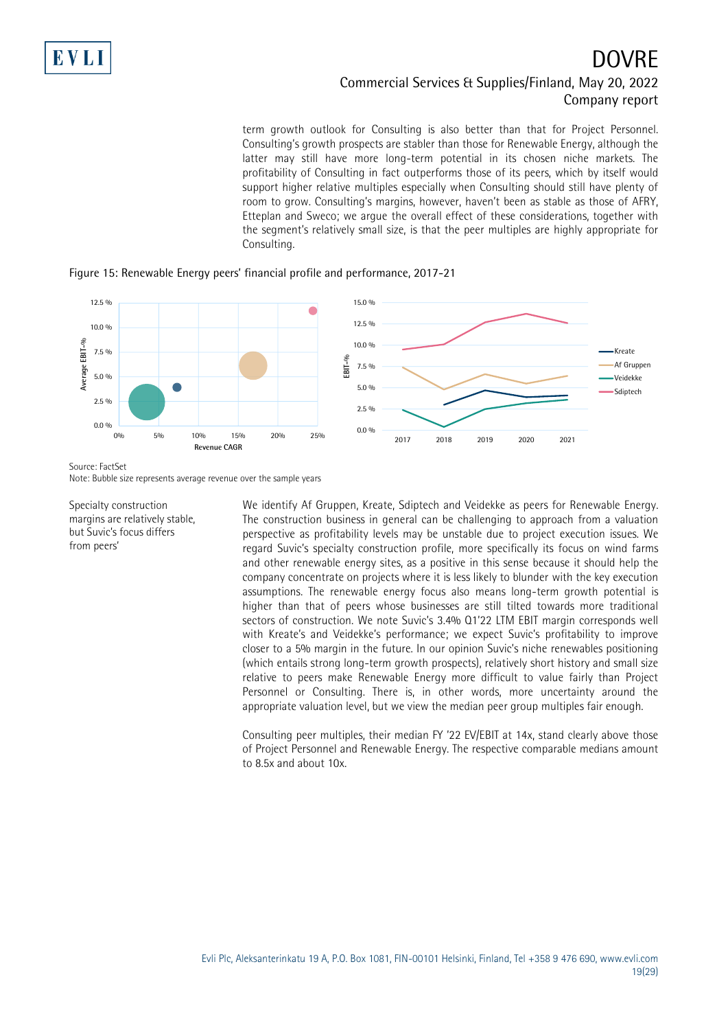term growth outlook for Consulting is also better than that for Project Personnel. Consulting's growth prospects are stabler than those for Renewable Energy, although the latter may still have more long-term potential in its chosen niche markets. The profitability of Consulting in fact outperforms those of its peers, which by itself would support higher relative multiples especially when Consulting should still have plenty of room to grow. Consulting's margins, however, haven't been as stable as those of AFRY, Etteplan and Sweco; we argue the overall effect of these considerations, together with the segment's relatively small size, is that the peer multiples are highly appropriate for Consulting.





Source: FactSet

Note: Bubble size represents average revenue over the sample years

Specialty construction margins are relatively stable, but Suvic's focus differs from peers'

We identify Af Gruppen, Kreate, Sdiptech and Veidekke as peers for Renewable Energy. The construction business in general can be challenging to approach from a valuation perspective as profitability levels may be unstable due to project execution issues. We regard Suvic's specialty construction profile, more specifically its focus on wind farms and other renewable energy sites, as a positive in this sense because it should help the company concentrate on projects where it is less likely to blunder with the key execution assumptions. The renewable energy focus also means long-term growth potential is higher than that of peers whose businesses are still tilted towards more traditional sectors of construction. We note Suvic's 3.4% Q1'22 LTM EBIT margin corresponds well with Kreate's and Veidekke's performance; we expect Suvic's profitability to improve closer to a 5% margin in the future. In our opinion Suvic's niche renewables positioning (which entails strong long-term growth prospects), relatively short history and small size relative to peers make Renewable Energy more difficult to value fairly than Project Personnel or Consulting. There is, in other words, more uncertainty around the appropriate valuation level, but we view the median peer group multiples fair enough.

Consulting peer multiples, their median FY '22 EV/EBIT at 14x, stand clearly above those of Project Personnel and Renewable Energy. The respective comparable medians amount to 8.5x and about 10x.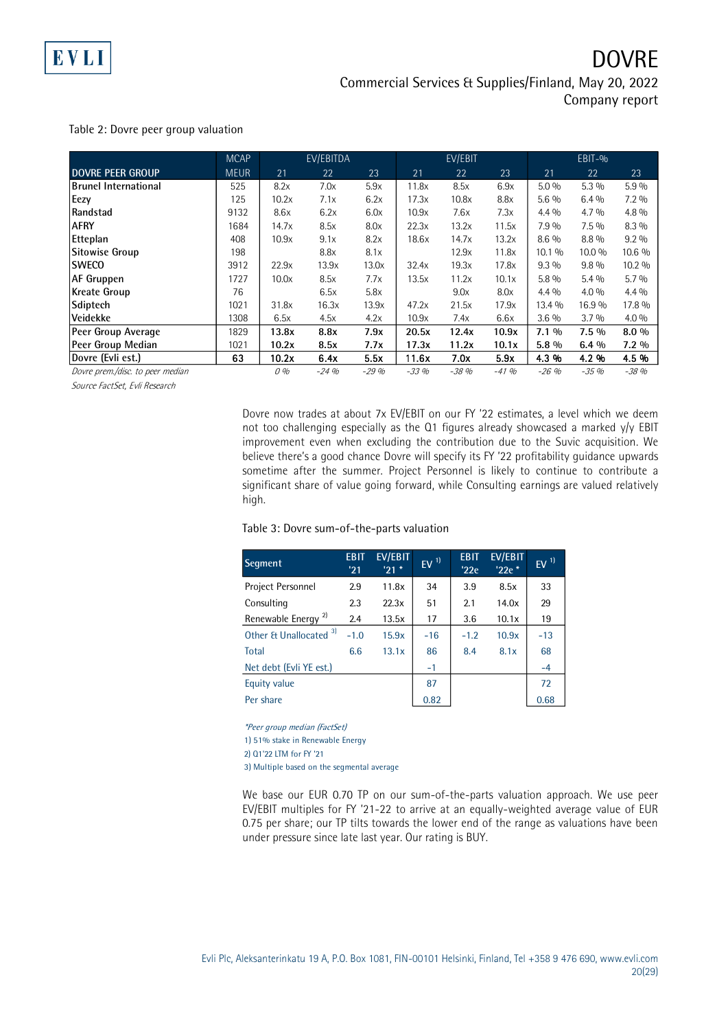

#### Table 2: Dovre peer group valuation

|                                  | <b>MCAP</b> |       | EV/EBITDA |         |        | EV/EBIT |        |         | EBIT-%  |         |
|----------------------------------|-------------|-------|-----------|---------|--------|---------|--------|---------|---------|---------|
| <b>DOVRE PEER GROUP</b>          | <b>MEUR</b> | 21    | 22        | 23      | 21     | 22      | 23     | 21      | 22      | 23      |
| <b>Brunel International</b>      | 525         | 8.2x  | 7.0x      | 5.9x    | 11.8x  | 8.5x    | 6.9x   | $5.0\%$ | $5.3\%$ | 5.9%    |
| Eezy                             | 125         | 10.2x | 7.1x      | 6.2x    | 17.3x  | 10.8x   | 8.8x   | $5.6\%$ | $6.4\%$ | $7.2\%$ |
| Randstad                         | 9132        | 8.6x  | 6.2x      | 6.0x    | 10.9x  | 7.6x    | 7.3x   | $4.4\%$ | $4.7\%$ | 4.8 %   |
| <b>AFRY</b>                      | 1684        | 14.7x | 8.5x      | 8.0x    | 22.3x  | 13.2x   | 11.5x  | 7.9%    | $7.5\%$ | 8.3 %   |
| Etteplan                         | 408         | 10.9x | 9.1x      | 8.2x    | 18.6x  | 14.7x   | 13.2x  | $8.6\%$ | $8.8\%$ | $9.2\%$ |
| Sitowise Group                   | 198         |       | 8.8x      | 8.1x    |        | 12.9x   | 11.8x  | 10.1 %  | 10.0 %  | 10.6 %  |
| <b>SWECO</b>                     | 3912        | 22.9x | 13.9x     | 13.0x   | 32.4x  | 19.3x   | 17.8x  | $9.3\%$ | $9.8\%$ | 10.2 %  |
| AF Gruppen                       | 1727        | 10.0x | 8.5x      | 7.7x    | 13.5x  | 11.2x   | 10.1x  | $5.8\%$ | $5.4\%$ | $5.7\%$ |
| <b>Kreate Group</b>              | 76          |       | 6.5x      | 5.8x    |        | 9.0x    | 8.0x   | $4.4\%$ | $4.0\%$ | $4.4\%$ |
| Sdiptech                         | 1021        | 31.8x | 16.3x     | 13.9x   | 47.2x  | 21.5x   | 17.9x  | 13.4 %  | 16.9%   | 17.8 %  |
| <b>Veidekke</b>                  | 308         | 6.5x  | 4.5x      | 4.2x    | 10.9x  | 7.4x    | 6.6x   | $3.6\%$ | $3.7\%$ | $4.0\%$ |
| Peer Group Average               | 1829        | 13.8x | 8.8x      | 7.9x    | 20.5x  | 12.4x   | 10.9x  | $7.1\%$ | $7.5\%$ | $8.0\%$ |
| Peer Group Median                | 1021        | 10.2x | 8.5x      | 7.7x    | 17.3x  | 11.2x   | 10.1x  | 5.8 %   | $6.4\%$ | $7.2\%$ |
| Dovre (Evli est.)                | 63          | 10.2x | 6.4x      | 5.5x    | 11.6x  | 7.0x    | 5.9x   | 43%     | 4.2 %   | 4.5 %   |
| Dovre prem./disc. to peer median |             | 0%    | $-24.96$  | $-29.%$ | $-33%$ | $-38%$  | $-41%$ | $-26$ % | $-35%$  | $-38%$  |

Source FactSet, Evli Research

Dovre now trades at about 7x EV/EBIT on our FY '22 estimates, a level which we deem not too challenging especially as the Q1 figures already showcased a marked y/y EBIT improvement even when excluding the contribution due to the Suvic acquisition. We believe there's a good chance Dovre will specify its FY '22 profitability guidance upwards sometime after the summer. Project Personnel is likely to continue to contribute a significant share of value going forward, while Consulting earnings are valued relatively high.

#### Table 3: Dovre sum-of-the-parts valuation

| Segment                           | <b>EBIT</b><br>'21 | <b>EV/EBIT</b><br>'21' | EV <sup>1</sup> | <b>EBIT</b><br>'22e | <b>EV/EBIT</b><br>'22e * | EVIL  |
|-----------------------------------|--------------------|------------------------|-----------------|---------------------|--------------------------|-------|
| Project Personnel                 | 2.9                | 11.8x                  | 34              | 3.9                 | 8.5x                     | 33    |
| Consulting                        | 2.3                | 22.3x                  | 51              | 2.1                 | 14.0x                    | 29    |
| Renewable Energy <sup>2)</sup>    | 2.4                | 13.5x                  | 17              | 3.6                 | 10.1x                    | 19    |
| Other & Unallocated <sup>3)</sup> | $-1.0$             | 15.9x                  | $-16$           | $-1.2$              | 10.9x                    | $-13$ |
| <b>Total</b>                      | 6.6                | 13.1x                  | 86              | 8.4                 | 8.1x                     | 68    |
| Net debt (Evli YE est.)           |                    |                        | $-1$            |                     |                          | $-4$  |
| Equity value                      |                    |                        | 87              |                     |                          | 72    |
| Per share                         |                    |                        | 0.82            |                     |                          | 0.68  |

\*Peer group median (FactSet) 1) 51% stake in Renewable Energy 2) Q1'22 LTM for FY '21 3) Multiple based on the segmental average

We base our EUR 0.70 TP on our sum-of-the-parts valuation approach. We use peer EV/EBIT multiples for FY '21-22 to arrive at an equally-weighted average value of EUR 0.75 per share; our TP tilts towards the lower end of the range as valuations have been under pressure since late last year. Our rating is BUY.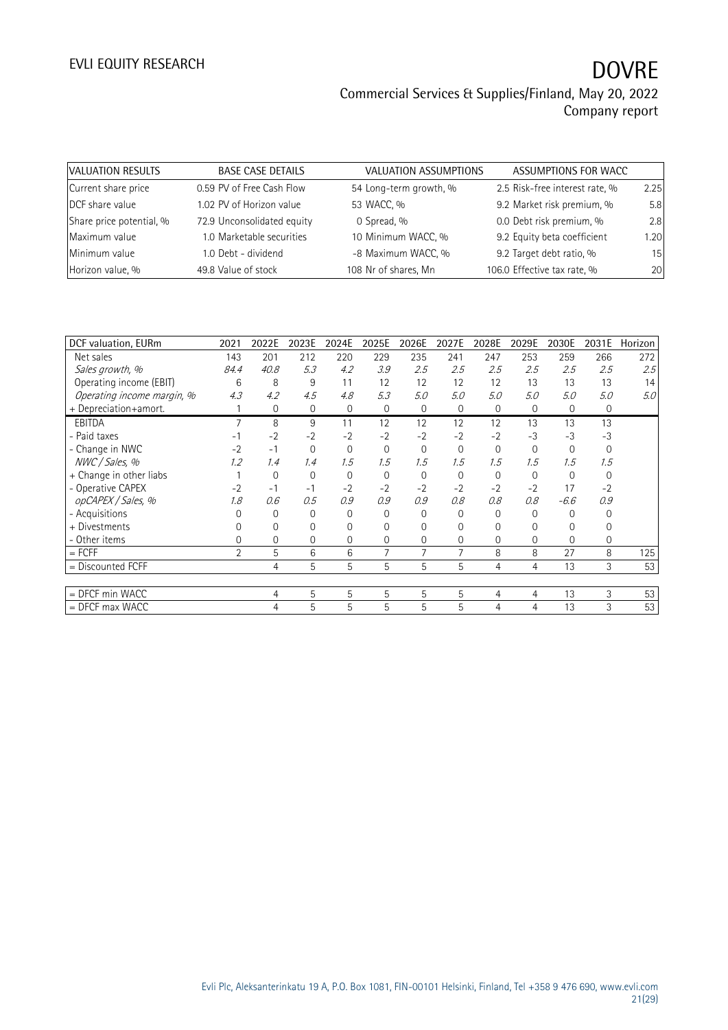| <b>VALUATION RESULTS</b> | <b>BASE CASE DETAILS</b>   | VALUATION ASSUMPTIONS  | ASSUMPTIONS FOR WACC           |      |
|--------------------------|----------------------------|------------------------|--------------------------------|------|
| Current share price      | 0.59 PV of Free Cash Flow  | 54 Long-term growth, % | 2.5 Risk-free interest rate, % | 2.25 |
| DCF share value          | 1.02 PV of Horizon value   | 53 WACC, %             | 9.2 Market risk premium, %     | 5.8  |
| Share price potential, % | 72.9 Unconsolidated equity | 0 Spread, %            | 0.0 Debt risk premium, %       | 2.8  |
| Maximum value            | 1.0 Marketable securities  | 10 Minimum WACC, %     | 9.2 Equity beta coefficient    | 1.20 |
| Minimum value            | 1.0 Debt - dividend        | -8 Maximum WACC, %     | 9.2 Target debt ratio, %       | 15   |
| Horizon value, %         | 49.8 Value of stock        | 108 Nr of shares, Mn   | 106.0 Effective tax rate, %    | 20   |

| DCF valuation, EURm        | 2021           | 2022E          | 2023E    | 2024E          | 2025E          | 2026E        | 2027E          | 2028E    | 2029E    | 2030E          | 2031E        | Horizon |
|----------------------------|----------------|----------------|----------|----------------|----------------|--------------|----------------|----------|----------|----------------|--------------|---------|
| Net sales                  | 143            | 201            | 212      | 220            | 229            | 235          | 241            | 247      | 253      | 259            | 266          | 272     |
| Sales growth, %            | 84.4           | 40.8           | 5.3      | 4.2            | 3.9            | 2.5          | 2.5            | 2.5      | 2.5      | 2.5            | 2.5          | 2.5     |
| Operating income (EBIT)    | 6              | 8              | 9        | 11             | 12             | 12           | 12             | 12       | 13       | 13             | 13           | 14      |
| Operating income margin, % | 4.3            | 4.2            | 4.5      | 4.8            | 5.3            | 5.0          | 5.0            | 5.0      | 5.0      | 5.0            | 5.0          | 5.0     |
| + Depreciation+amort.      |                | $\mathbf{0}$   | 0        | $\overline{0}$ | $\mathbf{0}$   | $\mathbf{0}$ | $\mathbf 0$    | 0        | 0        | $\overline{0}$ | 0            |         |
| <b>EBITDA</b>              |                | 8              | 9        | 11             | 12             | 12           | 12             | 12       | 13       | 13             | 13           |         |
| - Paid taxes               |                | $-2$           | $-2$     | $-2$           | $-2$           | $-2$         | $-2$           | $-2$     | $-3$     | $-3$           | $-3$         |         |
| - Change in NWC            | $-2$           | $-1$           | $\Omega$ | $\Omega$       | $\mathbf{0}$   | $\Omega$     | $\Omega$       | $\Omega$ | $\Omega$ | $\Omega$       | $\Omega$     |         |
| NWC / Sales, %             | 1.2            | 1.4            | 1.4      | 1.5            | 1.5            | 1.5          | 1.5            | 1.5      | 1.5      | 1.5            | 1.5          |         |
| + Change in other liabs    |                | $\mathbf{0}$   | $\Omega$ | $\Omega$       | $\Omega$       | $\Omega$     | $\Omega$       | $\Omega$ | $\Omega$ | $\Omega$       | $\Omega$     |         |
| - Operative CAPEX          | $-2$           | $-1$           | $-1$     | $-2$           | $-2$           | $-2$         | $-2$           | $-2$     | $-2$     | 17             | $-2$         |         |
| opCAPEX / Sales, %         | 1.8            | 0.6            | 0.5      | 0.9            | 0.9            | 0.9          | 0.8            | 0.8      | 0.8      | $-6.6$         | 0.9          |         |
| - Acquisitions             | 0              | $\Omega$       | $\Omega$ | $\Omega$       | $\Omega$       | $\Omega$     | $\Omega$       | $\Omega$ | $\Omega$ | $\Omega$       | $\Omega$     |         |
| + Divestments              | $\Omega$       | 0              | 0        | 0              | 0              | 0            | $\Omega$       | 0        | 0        | 0              | 0            |         |
| - Other items              | $\Omega$       | $\overline{0}$ | 0        | $\Omega$       | $\overline{0}$ | 0            | $\Omega$       | $\Omega$ | 0        | $\Omega$       | $\mathbf{0}$ |         |
| $=$ FCFF                   | $\overline{2}$ | 5              | 6        | 6              | 7              | 7            | $\overline{7}$ | 8        | 8        | 27             | 8            | 125     |
| $=$ Discounted FCFF        |                | $\overline{4}$ | 5        | 5              | 5              | 5            | 5              | 4        | 4        | 13             | 3            | 53      |
|                            |                |                |          |                |                |              |                |          |          |                |              |         |
| = DFCF min WACC            |                | 4              | 5        | 5              | 5              | 5            | 5              | 4        | 4        | 13             | 3            | 53      |
| $=$ DFCF max WACC          |                | 4              | 5        | 5              | 5              | 5            | 5              | 4        | 4        | 13             | 3            | 53      |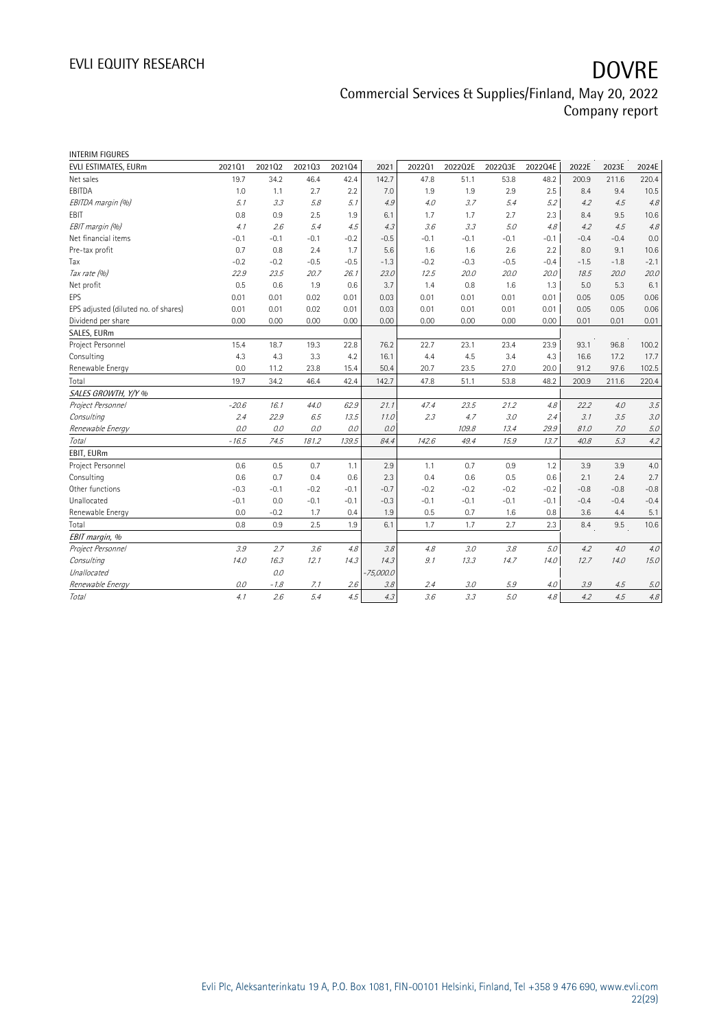| <b>INTERIM FIGURES</b>               |         |        |        |        |             |        |         |         |         |        |        |         |
|--------------------------------------|---------|--------|--------|--------|-------------|--------|---------|---------|---------|--------|--------|---------|
| EVLI ESTIMATES, EURm                 | 202101  | 202102 | 202103 | 202104 | 2021        | 202201 | 2022Q2E | 2022Q3E | 2022Q4E | 2022E  | 2023E  | 2024E   |
| Net sales                            | 19.7    | 34.2   | 46.4   | 42.4   | 142.7       | 47.8   | 51.1    | 53.8    | 48.2    | 200.9  | 211.6  | 220.4   |
| EBITDA                               | 1.0     | 1.1    | 2.7    | 2.2    | 7.0         | 1.9    | 1.9     | 2.9     | 2.5     | 8.4    | 9.4    | 10.5    |
| EBITDA margin (%)                    | 5.1     | 3.3    | 5.8    | 5.1    | 4.9         | 4.0    | 3.7     | 5.4     | 5.2     | 4.2    | 4.5    | 4.8     |
| EBIT                                 | 0.8     | 0.9    | 2.5    | 1.9    | 6.1         | 1.7    | 1.7     | 2.7     | 2.3     | 8.4    | 9.5    | 10.6    |
| EBIT margin (%)                      | 4.1     | 2.6    | 5.4    | 4.5    | 4.3         | 3.6    | 3.3     | 5.0     | 4.8     | 4.2    | 4.5    | 4.8     |
| Net financial items                  | $-0.1$  | $-0.1$ | $-0.1$ | $-0.2$ | $-0.5$      | $-0.1$ | $-0.1$  | $-0.1$  | $-0.1$  | $-0.4$ | $-0.4$ | 0.0     |
| Pre-tax profit                       | 0.7     | 0.8    | 2.4    | 1.7    | 5.6         | 1.6    | 1.6     | 2.6     | 2.2     | 8.0    | 9.1    | 10.6    |
| Tax                                  | $-0.2$  | $-0.2$ | $-0.5$ | $-0.5$ | $-1.3$      | $-0.2$ | $-0.3$  | $-0.5$  | $-0.4$  | $-1.5$ | $-1.8$ | $-2.1$  |
| Tax rate (%)                         | 22.9    | 23.5   | 20.7   | 26.1   | 23.0        | 12.5   | 20.0    | 20.0    | 20.0    | 18.5   | 20.0   | 20.0    |
| Net profit                           | 0.5     | 0.6    | 1.9    | 0.6    | 3.7         | 1.4    | 0.8     | 1.6     | 1.3     | 5.0    | 5.3    | 6.1     |
| EPS                                  | 0.01    | 0.01   | 0.02   | 0.01   | 0.03        | 0.01   | 0.01    | 0.01    | 0.01    | 0.05   | 0.05   | 0.06    |
| EPS adjusted (diluted no. of shares) | 0.01    | 0.01   | 0.02   | 0.01   | 0.03        | 0.01   | 0.01    | 0.01    | 0.01    | 0.05   | 0.05   | 0.06    |
| Dividend per share                   | 0.00    | 0.00   | 0.00   | 0.00   | 0.00        | 0.00   | 0.00    | 0.00    | 0.00    | 0.01   | 0.01   | 0.01    |
| SALES, EURm                          |         |        |        |        |             |        |         |         |         |        |        |         |
| Project Personnel                    | 15.4    | 18.7   | 19.3   | 22.8   | 76.2        | 22.7   | 23.1    | 23.4    | 23.9    | 93.1   | 96.8   | 100.2   |
| Consulting                           | 4.3     | 4.3    | 3.3    | 4.2    | 16.1        | 4.4    | 4.5     | 3.4     | 4.3     | 16.6   | 17.2   | 17.7    |
| Renewable Energy                     | 0.0     | 11.2   | 23.8   | 15.4   | 50.4        | 20.7   | 23.5    | 27.0    | 20.0    | 91.2   | 97.6   | 102.5   |
| Total                                | 19.7    | 34.2   | 46.4   | 42.4   | 142.7       | 47.8   | 51.1    | 53.8    | 48.2    | 200.9  | 211.6  | 220.4   |
| SALES GROWTH, Y/Y %                  |         |        |        |        |             |        |         |         |         |        |        |         |
| Project Personnel                    | $-20.6$ | 16.1   | 44.0   | 62.9   | 21.1        | 47.4   | 23.5    | 21.2    | 4.8     | 22.2   | 4.0    | 3.5     |
| Consulting                           | 2.4     | 22.9   | 6.5    | 13.5   | 11.0        | 2.3    | 4.7     | 3.0     | 2.4     | 3.1    | 3.5    | 3.0     |
| Renewable Energy                     | 0.0     | 0.0    | 0.0    | 0.0    | 0.0         |        | 109.8   | 13.4    | 29.9    | 81.0   | 7.0    | 5.0     |
| <b>Total</b>                         | $-16.5$ | 74.5   | 181.2  | 139.5  | 84.4        | 142.6  | 49.4    | 15.9    | 13.7    | 40.8   | 5.3    | 4.2     |
| EBIT, EURm                           |         |        |        |        |             |        |         |         |         |        |        |         |
| Project Personnel                    | 0.6     | 0.5    | 0.7    | 1.1    | 2.9         | 1.1    | 0.7     | 0.9     | 1.2     | 3.9    | 3.9    | 4.0     |
| Consulting                           | 0.6     | 0.7    | 0.4    | 0.6    | 2.3         | 0.4    | 0.6     | 0.5     | 0.6     | 2.1    | 2.4    | 2.7     |
| Other functions                      | $-0.3$  | $-0.1$ | $-0.2$ | $-0.1$ | $-0.7$      | $-0.2$ | $-0.2$  | $-0.2$  | $-0.2$  | $-0.8$ | $-0.8$ | $-0.8$  |
| Unallocated                          | $-0.1$  | 0.0    | $-0.1$ | $-0.1$ | $-0.3$      | $-0.1$ | $-0.1$  | $-0.1$  | $-0.1$  | $-0.4$ | $-0.4$ | $-0.4$  |
| Renewable Energy                     | 0.0     | $-0.2$ | 1.7    | 0.4    | 1.9         | 0.5    | 0.7     | 1.6     | 0.8     | 3.6    | 4.4    | 5.1     |
| Total                                | 0.8     | 0.9    | 2.5    | 1.9    | 6.1         | 1.7    | 1.7     | 2.7     | 2.3     | 8.4    | 9.5    | 10.6    |
| EBIT margin, %                       |         |        |        |        |             |        |         |         |         |        |        |         |
| Project Personnel                    | 3.9     | 2.7    | 3.6    | 4.8    | 3.8         | 4.8    | 3.0     | 3.8     | 5.0     | 4.2    | 4.0    | 4.0     |
| Consulting                           | 14.0    | 16.3   | 12.1   | 14.3   | 14.3        | 9.1    | 13.3    | 14.7    | 14.0    | 12.7   | 14.0   | 15.0    |
| Unallocated                          |         | 0.0    |        |        | $-75,000.0$ |        |         |         |         |        |        |         |
| Renewable Energy                     | 0.0     | $-1.8$ | 7.1    | 2.6%   | 3.8         | 2.4    | 3.0     | $5.9\,$ | 4.0     | 3.9    | 4.5    | 5.0     |
| Total                                | 4.1     | 2.6    | 5.4    | 4.5    | 4.3         | 3.6    | 3.3     | 5.0     | 4.8     | 4.2    | 4.5    | $4.8\,$ |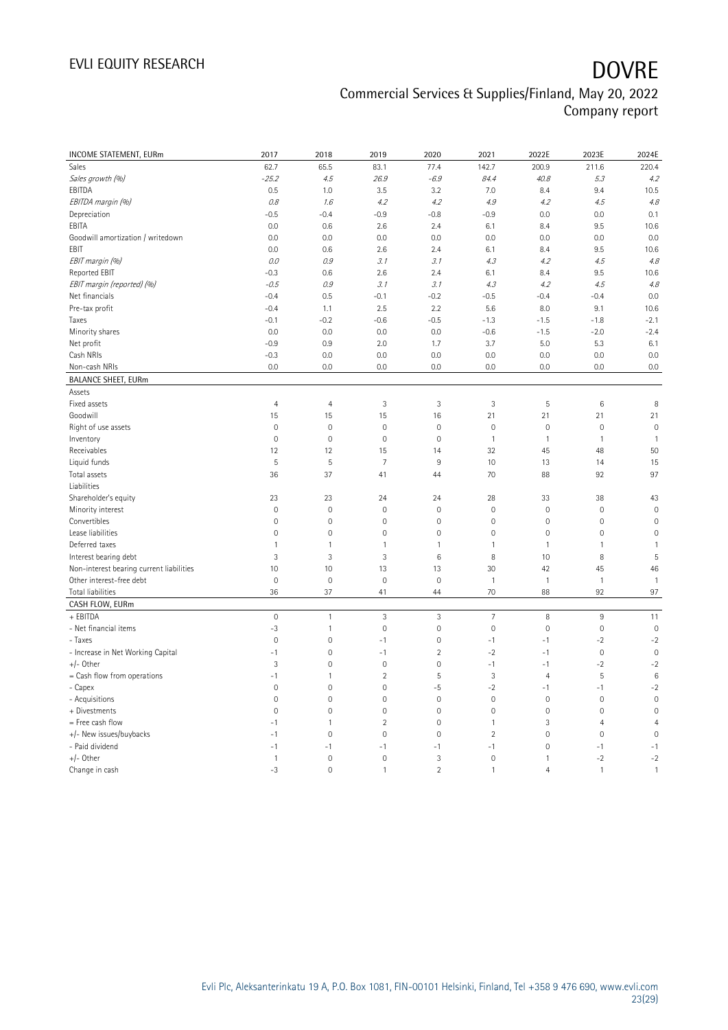| <b>INCOME STATEMENT, EURm</b>            | 2017                | 2018                | 2019           | 2020                | 2021           | 2022E               | 2023E        | 2024E               |
|------------------------------------------|---------------------|---------------------|----------------|---------------------|----------------|---------------------|--------------|---------------------|
| Sales                                    | 62.7                | 65.5                | 83.1           | 77.4                | 142.7          | 200.9               | 211.6        | 220.4               |
| Sales growth (%)                         | $-25.2$             | 4.5                 | 26.9           | $-6.9$              | 84.4           | 40.8                | 5.3          | 4.2                 |
| EBITDA                                   | 0.5                 | 1.0                 | 3.5            | 3.2                 | 7.0            | 8.4                 | 9.4          | 10.5                |
| EBITDA margin (%)                        | $0.8\,$             | 1.6                 | 4.2            | 4.2                 | 4.9            | 4.2                 | 4.5          | 4.8                 |
| Depreciation                             | $-0.5$              | $-0.4$              | $-0.9$         | $-0.8$              | $-0.9$         | 0.0                 | 0.0          | 0.1                 |
| EBITA                                    | 0.0                 | 0.6                 | 2.6            | 2.4                 | 6.1            | 8.4                 | 9.5          | 10.6                |
| Goodwill amortization / writedown        | 0.0                 | 0.0                 | 0.0            | 0.0                 | 0.0            | 0.0                 | 0.0          | 0.0                 |
| EBIT                                     | 0.0                 | 0.6                 | 2.6            | 2.4                 | 6.1            | 8.4                 | 9.5          | 10.6                |
| EBIT margin (%)                          | 0.0                 | 0.9                 | 3.1            | 3.1                 | 4.3            | 4.2                 | 4.5          | 4.8                 |
| Reported EBIT                            | $-0.3$              | 0.6                 | 2.6            | 2.4                 | 6.1            | 8.4                 | 9.5          | 10.6                |
| EBIT margin (reported) (%)               | $-0.5$              | 0.9                 | 3.1            | 3.1                 | 4.3            | 4.2                 | 4.5          | $4.8$               |
| Net financials                           | $-0.4$              | 0.5                 |                |                     | $-0.5$         | $-0.4$              | $-0.4$       | 0.0                 |
|                                          |                     |                     | $-0.1$         | $-0.2$              |                |                     |              |                     |
| Pre-tax profit                           | $-0.4$              | 1.1                 | 2.5            | 2.2                 | 5.6            | 8.0                 | 9.1          | 10.6                |
| Taxes                                    | $-0.1$              | $-0.2$              | $-0.6$         | $-0.5$              | $-1.3$         | $-1.5$              | $-1.8$       | $-2.1$              |
| Minority shares                          | 0.0                 | 0.0                 | 0.0            | 0.0                 | $-0.6$         | $-1.5$              | $-2.0$       | $-2.4$              |
| Net profit                               | $-0.9$              | 0.9                 | 2.0            | 1.7                 | 3.7            | 5.0                 | 5.3          | 6.1                 |
| Cash NRIs                                | $-0.3$              | 0.0                 | 0.0            | 0.0                 | 0.0            | 0.0                 | 0.0          | 0.0                 |
| Non-cash NRIs                            | 0.0                 | 0.0                 | 0.0            | 0.0                 | 0.0            | 0.0                 | 0.0          | 0.0                 |
| <b>BALANCE SHEET, EURm</b>               |                     |                     |                |                     |                |                     |              |                     |
| Assets                                   |                     |                     |                |                     |                |                     |              |                     |
| Fixed assets                             | $\overline{4}$      | $\overline{4}$      | 3              | 3                   | 3              | $\sqrt{5}$          | $\,6\,$      | 8                   |
| Goodwill                                 | 15                  | 15                  | 15             | 16                  | 21             | 21                  | 21           | 21                  |
| Right of use assets                      | $\mathbf 0$         | $\mathbf 0$         | $\mathbf 0$    | $\mathbf 0$         | $\mathbf 0$    | $\mathsf{O}\xspace$ | $\mathbf 0$  | $\mathbf 0$         |
| Inventory                                | $\mathbf 0$         | $\mathbf 0$         | $\mathbf 0$    | $\mathbf 0$         | $\mathbf{1}$   | $\mathbf{1}$        | $\mathbf{1}$ | $\mathbf{1}$        |
| Receivables                              | 12                  | 12                  | 15             | 14                  | 32             | 45                  | 48           | 50                  |
| Liquid funds                             | 5                   | 5                   | $\overline{7}$ | 9                   | 10             | 13                  | 14           | 15                  |
| Total assets                             | 36                  | 37                  | 41             | 44                  | 70             | 88                  | 92           | 97                  |
| Liabilities                              |                     |                     |                |                     |                |                     |              |                     |
| Shareholder's equity                     | 23                  | 23                  | 24             | 24                  | 28             | 33                  | 38           | 43                  |
| Minority interest                        | $\mathsf{O}\xspace$ | $\mathsf{O}\xspace$ | $\mathbf 0$    | $\mathbf 0$         | $\mathbf 0$    | $\mathsf{O}\xspace$ | $\bf 0$      | $\mathsf{O}\xspace$ |
| Convertibles                             | $\mathbf 0$         | $\mathbf 0$         | $\mathbf 0$    | $\mathbf 0$         | $\mathbf 0$    | $\mathsf{O}\xspace$ | $\mathbf 0$  | $\mathbf 0$         |
| Lease liabilities                        | $\mathbf 0$         | $\mathbf 0$         | $\mathbf 0$    | $\mathbf 0$         | $\mathbf 0$    | $\mathsf{O}\xspace$ | $\mathbf 0$  | $\mathbf 0$         |
| Deferred taxes                           | $\mathbf{1}$        | $\mathbf{1}$        | $\mathbf{1}$   | 1                   | $\mathbf{1}$   | $\mathbf{1}$        | $\mathbf{1}$ | $\mathbf{1}$        |
| Interest bearing debt                    | 3                   | $\sqrt{3}$          | 3              | 6                   | 8              | 10                  | 8            | 5                   |
| Non-interest bearing current liabilities | 10                  | 10                  | 13             | 13                  | 30             | 42                  | 45           | 46                  |
| Other interest-free debt                 | $\mathbf 0$         | $\mathbf 0$         | $\mathbf 0$    | $\mathbf 0$         | $\mathbf{1}$   | $\mathbf{1}$        | $\mathbf{1}$ | $\mathbf{1}$        |
| Total liabilities                        | 36                  | 37                  | 41             | 44                  | 70             | 88                  | 92           | 97                  |
| CASH FLOW, EURm                          |                     |                     |                |                     |                |                     |              |                     |
| + EBITDA                                 | $\mathbf 0$         | $\mathbf{1}$        | 3              | $\mathbf{3}$        | $\overline{7}$ | 8                   | $9$          | 11                  |
| - Net financial items                    | $-3$                | $\mathbf{1}$        | $\mathbf 0$    | $\mathsf{O}\xspace$ | $\mathbf 0$    | $\mathsf{O}\xspace$ | $\mathbf 0$  | $\mathbf 0$         |
| - Taxes                                  | $\mathbf 0$         | $\mathsf{O}\xspace$ | $-1$           | $\mathsf{O}\xspace$ | $-1$           | $-1$                | $-2$         | $-2$                |
| - Increase in Net Working Capital        | $-1$                | $\mathbf 0$         | $-1$           | $\overline{2}$      | $-2$           | $-1$                | $\mathbf 0$  | $\mathbf 0$         |
| +/- Other                                | 3                   | $\mathbf 0$         | $\mathbf 0$    | $\mathsf{O}\xspace$ | $-1$           | $-1$                | $-2$         | $-2$                |
| = Cash flow from operations              | $-1$                | $\mathbf{1}$        | $\overline{2}$ | 5                   | 3              | $\overline{4}$      | 5            | $6\phantom{.}6$     |
| - Capex                                  | $\mathbf 0$         | $\mathbf 0$         | $\mathbf 0$    | $-5$                | $-2$           | $-1$                | $-1$         | $-2$                |
| - Acquisitions                           | $\overline{0}$      | $\mathbf 0$         | $\mathbf 0$    | $\mathbf 0$         | $\mathbf 0$    | $\mathsf{O}\xspace$ | $\mathbf{0}$ | $\mathbf 0$         |
| + Divestments                            | 0                   | $\overline{0}$      | $\mathbf{0}$   | $\mathbf 0$         | $\overline{0}$ | $\mathbf{0}$        | 0            | $\overline{0}$      |
| = Free cash flow                         | $-1$                | $\mathbf{1}$        | $\overline{2}$ | $\mathsf{O}\xspace$ | $\mathbf{1}$   | 3                   | 4            | $\overline{4}$      |
| +/- New issues/buybacks                  | $-1$                | $\mathbf 0$         | $\mathbf 0$    | $\mathbf 0$         | $\overline{2}$ | $\mathsf{O}\xspace$ | $\mathbf 0$  | $\mathbf 0$         |
| - Paid dividend                          | $-1$                | $-1$                | $-1$           | $-1$                | $-1$           | $\mathbf 0$         | $-1$         | $-1$                |
| +/- Other                                | $\mathbf{1}$        | $\mathbf 0$         | $\mathbf{0}$   | 3                   | $\mathbf 0$    | $\mathbf{1}$        | $-2$         | $-2$                |
| Change in cash                           | $-3$                | $\mathbf 0$         | 1              | $\overline{2}$      | $\mathbf{1}$   | $\overline{4}$      | $\mathbf{1}$ | $\mathbf{1}$        |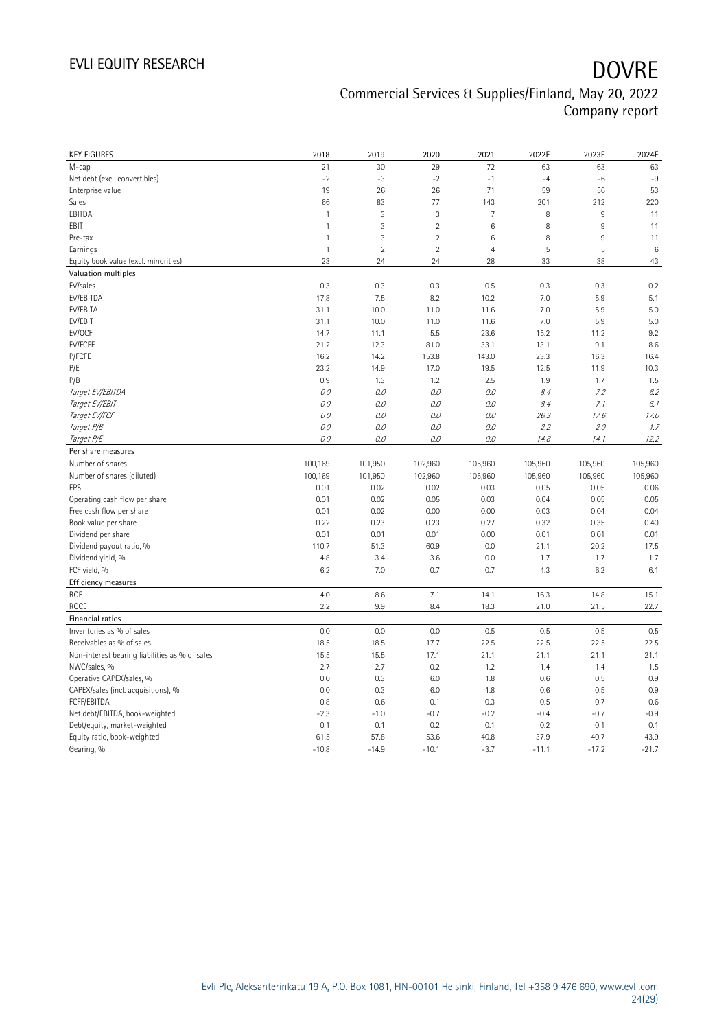| 21<br>29<br>72<br>30<br>63<br>63<br>63<br>M-cap<br>Net debt (excl. convertibles)<br>$-2$<br>$-3$<br>$-2$<br>$-1$<br>$-4$<br>$-6$<br>$-9$<br>Enterprise value<br>19<br>26<br>26<br>71<br>56<br>53<br>59<br>77<br>Sales<br>66<br>83<br>143<br>201<br>212<br>220<br>EBITDA<br>$\mathbf{3}$<br>3<br>7<br>8<br>9<br>$\mathbf{1}$<br>11<br>$\overline{2}$<br>EBIT<br>$\mathbf{3}$<br>6<br>8<br>9<br>11<br>$\mathbf{1}$<br>3<br>$\sqrt{2}$<br>6<br>8<br>9<br>Pre-tax<br>$\mathbf{1}$<br>11<br>$\overline{2}$<br>$\overline{2}$<br>$\overline{4}$<br>5<br>5<br>$6\phantom{1}6$<br>Earnings<br>$\mathbf{1}$<br>23<br>24<br>24<br>28<br>33<br>38<br>43<br>Equity book value (excl. minorities)<br>Valuation multiples<br>EV/sales<br>0.3<br>0.3<br>0.3<br>0.5<br>0.3<br>0.3<br>0.2<br>EV/EBITDA<br>7.5<br>8.2<br>17.8<br>10.2<br>7.0<br>5.9<br>5.1<br>EV/EBITA<br>31.1<br>10.0<br>11.0<br>11.6<br>7.0<br>5.9<br>5.0<br>EV/EBIT<br>7.0<br>5.0<br>31.1<br>10.0<br>11.0<br>11.6<br>5.9<br>EV/OCF<br>5.5<br>23.6<br>15.2<br>9.2<br>14.7<br>11.1<br>11.2<br>EV/FCFF<br>21.2<br>12.3<br>81.0<br>33.1<br>13.1<br>9.1<br>8.6<br>P/FCFE<br>16.2<br>14.2<br>153.8<br>143.0<br>23.3<br>16.3<br>16.4<br>P/E<br>23.2<br>14.9<br>17.0<br>19.5<br>10.3<br>12.5<br>11.9<br>P/B<br>0.9<br>1.3<br>1.2<br>2.5<br>1.9<br>1.7<br>1.5<br>Target EV/EBITDA<br>6.2<br>O.O<br>0.0<br>0.0<br>0.0<br>8.4<br>7.2<br>Target EV/EBIT<br>7.1<br>0.0<br>0.0<br>$0.0$<br>0.0<br>8.4<br>6.1<br>Target EV/FCF<br>O.O<br>0.0<br>0.0<br>0.0<br>26.3<br>17.6<br>17.0<br>Target P/B<br>0.0<br>0.0<br>0.0<br>O.O<br>2.2<br>2.0<br>1.7<br>Target P/E<br>12.2<br>$0.0$<br>0.0<br>0.0<br>$O.O$<br>14.8<br>14.1<br>Per share measures<br>Number of shares<br>100,169<br>101,950<br>102,960<br>105,960<br>105,960<br>105,960<br>105,960<br>Number of shares (diluted)<br>102,960<br>105,960<br>100,169<br>101,950<br>105,960<br>105,960<br>105,960<br>EPS<br>0.01<br>0.02<br>0.02<br>0.03<br>0.05<br>0.05<br>0.06<br>Operating cash flow per share<br>0.01<br>0.02<br>0.05<br>0.03<br>0.04<br>0.05<br>0.05<br>Free cash flow per share<br>0.04<br>0.01<br>0.02<br>0.00<br>0.00<br>0.03<br>0.04<br>Book value per share<br>0.22<br>0.23<br>0.23<br>0.27<br>0.35<br>0.40<br>0.32<br>0.01<br>0.01<br>0.01<br>0.00<br>0.01<br>0.01<br>0.01<br>Dividend per share<br>17.5<br>Dividend payout ratio, %<br>110.7<br>51.3<br>60.9<br>0.0<br>21.1<br>20.2<br>Dividend yield, %<br>4.8<br>3.4<br>0.0<br>1.7<br>1.7<br>1.7<br>3.6<br>FCF yield, %<br>6.2<br>7.0<br>0.7<br>0.7<br>4.3<br>6.2<br>6.1<br>Efficiency measures |
|---------------------------------------------------------------------------------------------------------------------------------------------------------------------------------------------------------------------------------------------------------------------------------------------------------------------------------------------------------------------------------------------------------------------------------------------------------------------------------------------------------------------------------------------------------------------------------------------------------------------------------------------------------------------------------------------------------------------------------------------------------------------------------------------------------------------------------------------------------------------------------------------------------------------------------------------------------------------------------------------------------------------------------------------------------------------------------------------------------------------------------------------------------------------------------------------------------------------------------------------------------------------------------------------------------------------------------------------------------------------------------------------------------------------------------------------------------------------------------------------------------------------------------------------------------------------------------------------------------------------------------------------------------------------------------------------------------------------------------------------------------------------------------------------------------------------------------------------------------------------------------------------------------------------------------------------------------------------------------------------------------------------------------------------------------------------------------------------------------------------------------------------------------------------------------------------------------------------------------------------------------------------------------------------------------------------------------------------------------------------------------------------------------------------------------------------------------------------------------------------------------------------------------------------------------|
|                                                                                                                                                                                                                                                                                                                                                                                                                                                                                                                                                                                                                                                                                                                                                                                                                                                                                                                                                                                                                                                                                                                                                                                                                                                                                                                                                                                                                                                                                                                                                                                                                                                                                                                                                                                                                                                                                                                                                                                                                                                                                                                                                                                                                                                                                                                                                                                                                                                                                                                                                         |
|                                                                                                                                                                                                                                                                                                                                                                                                                                                                                                                                                                                                                                                                                                                                                                                                                                                                                                                                                                                                                                                                                                                                                                                                                                                                                                                                                                                                                                                                                                                                                                                                                                                                                                                                                                                                                                                                                                                                                                                                                                                                                                                                                                                                                                                                                                                                                                                                                                                                                                                                                         |
|                                                                                                                                                                                                                                                                                                                                                                                                                                                                                                                                                                                                                                                                                                                                                                                                                                                                                                                                                                                                                                                                                                                                                                                                                                                                                                                                                                                                                                                                                                                                                                                                                                                                                                                                                                                                                                                                                                                                                                                                                                                                                                                                                                                                                                                                                                                                                                                                                                                                                                                                                         |
|                                                                                                                                                                                                                                                                                                                                                                                                                                                                                                                                                                                                                                                                                                                                                                                                                                                                                                                                                                                                                                                                                                                                                                                                                                                                                                                                                                                                                                                                                                                                                                                                                                                                                                                                                                                                                                                                                                                                                                                                                                                                                                                                                                                                                                                                                                                                                                                                                                                                                                                                                         |
|                                                                                                                                                                                                                                                                                                                                                                                                                                                                                                                                                                                                                                                                                                                                                                                                                                                                                                                                                                                                                                                                                                                                                                                                                                                                                                                                                                                                                                                                                                                                                                                                                                                                                                                                                                                                                                                                                                                                                                                                                                                                                                                                                                                                                                                                                                                                                                                                                                                                                                                                                         |
|                                                                                                                                                                                                                                                                                                                                                                                                                                                                                                                                                                                                                                                                                                                                                                                                                                                                                                                                                                                                                                                                                                                                                                                                                                                                                                                                                                                                                                                                                                                                                                                                                                                                                                                                                                                                                                                                                                                                                                                                                                                                                                                                                                                                                                                                                                                                                                                                                                                                                                                                                         |
|                                                                                                                                                                                                                                                                                                                                                                                                                                                                                                                                                                                                                                                                                                                                                                                                                                                                                                                                                                                                                                                                                                                                                                                                                                                                                                                                                                                                                                                                                                                                                                                                                                                                                                                                                                                                                                                                                                                                                                                                                                                                                                                                                                                                                                                                                                                                                                                                                                                                                                                                                         |
|                                                                                                                                                                                                                                                                                                                                                                                                                                                                                                                                                                                                                                                                                                                                                                                                                                                                                                                                                                                                                                                                                                                                                                                                                                                                                                                                                                                                                                                                                                                                                                                                                                                                                                                                                                                                                                                                                                                                                                                                                                                                                                                                                                                                                                                                                                                                                                                                                                                                                                                                                         |
|                                                                                                                                                                                                                                                                                                                                                                                                                                                                                                                                                                                                                                                                                                                                                                                                                                                                                                                                                                                                                                                                                                                                                                                                                                                                                                                                                                                                                                                                                                                                                                                                                                                                                                                                                                                                                                                                                                                                                                                                                                                                                                                                                                                                                                                                                                                                                                                                                                                                                                                                                         |
|                                                                                                                                                                                                                                                                                                                                                                                                                                                                                                                                                                                                                                                                                                                                                                                                                                                                                                                                                                                                                                                                                                                                                                                                                                                                                                                                                                                                                                                                                                                                                                                                                                                                                                                                                                                                                                                                                                                                                                                                                                                                                                                                                                                                                                                                                                                                                                                                                                                                                                                                                         |
|                                                                                                                                                                                                                                                                                                                                                                                                                                                                                                                                                                                                                                                                                                                                                                                                                                                                                                                                                                                                                                                                                                                                                                                                                                                                                                                                                                                                                                                                                                                                                                                                                                                                                                                                                                                                                                                                                                                                                                                                                                                                                                                                                                                                                                                                                                                                                                                                                                                                                                                                                         |
|                                                                                                                                                                                                                                                                                                                                                                                                                                                                                                                                                                                                                                                                                                                                                                                                                                                                                                                                                                                                                                                                                                                                                                                                                                                                                                                                                                                                                                                                                                                                                                                                                                                                                                                                                                                                                                                                                                                                                                                                                                                                                                                                                                                                                                                                                                                                                                                                                                                                                                                                                         |
|                                                                                                                                                                                                                                                                                                                                                                                                                                                                                                                                                                                                                                                                                                                                                                                                                                                                                                                                                                                                                                                                                                                                                                                                                                                                                                                                                                                                                                                                                                                                                                                                                                                                                                                                                                                                                                                                                                                                                                                                                                                                                                                                                                                                                                                                                                                                                                                                                                                                                                                                                         |
|                                                                                                                                                                                                                                                                                                                                                                                                                                                                                                                                                                                                                                                                                                                                                                                                                                                                                                                                                                                                                                                                                                                                                                                                                                                                                                                                                                                                                                                                                                                                                                                                                                                                                                                                                                                                                                                                                                                                                                                                                                                                                                                                                                                                                                                                                                                                                                                                                                                                                                                                                         |
|                                                                                                                                                                                                                                                                                                                                                                                                                                                                                                                                                                                                                                                                                                                                                                                                                                                                                                                                                                                                                                                                                                                                                                                                                                                                                                                                                                                                                                                                                                                                                                                                                                                                                                                                                                                                                                                                                                                                                                                                                                                                                                                                                                                                                                                                                                                                                                                                                                                                                                                                                         |
|                                                                                                                                                                                                                                                                                                                                                                                                                                                                                                                                                                                                                                                                                                                                                                                                                                                                                                                                                                                                                                                                                                                                                                                                                                                                                                                                                                                                                                                                                                                                                                                                                                                                                                                                                                                                                                                                                                                                                                                                                                                                                                                                                                                                                                                                                                                                                                                                                                                                                                                                                         |
|                                                                                                                                                                                                                                                                                                                                                                                                                                                                                                                                                                                                                                                                                                                                                                                                                                                                                                                                                                                                                                                                                                                                                                                                                                                                                                                                                                                                                                                                                                                                                                                                                                                                                                                                                                                                                                                                                                                                                                                                                                                                                                                                                                                                                                                                                                                                                                                                                                                                                                                                                         |
|                                                                                                                                                                                                                                                                                                                                                                                                                                                                                                                                                                                                                                                                                                                                                                                                                                                                                                                                                                                                                                                                                                                                                                                                                                                                                                                                                                                                                                                                                                                                                                                                                                                                                                                                                                                                                                                                                                                                                                                                                                                                                                                                                                                                                                                                                                                                                                                                                                                                                                                                                         |
|                                                                                                                                                                                                                                                                                                                                                                                                                                                                                                                                                                                                                                                                                                                                                                                                                                                                                                                                                                                                                                                                                                                                                                                                                                                                                                                                                                                                                                                                                                                                                                                                                                                                                                                                                                                                                                                                                                                                                                                                                                                                                                                                                                                                                                                                                                                                                                                                                                                                                                                                                         |
|                                                                                                                                                                                                                                                                                                                                                                                                                                                                                                                                                                                                                                                                                                                                                                                                                                                                                                                                                                                                                                                                                                                                                                                                                                                                                                                                                                                                                                                                                                                                                                                                                                                                                                                                                                                                                                                                                                                                                                                                                                                                                                                                                                                                                                                                                                                                                                                                                                                                                                                                                         |
|                                                                                                                                                                                                                                                                                                                                                                                                                                                                                                                                                                                                                                                                                                                                                                                                                                                                                                                                                                                                                                                                                                                                                                                                                                                                                                                                                                                                                                                                                                                                                                                                                                                                                                                                                                                                                                                                                                                                                                                                                                                                                                                                                                                                                                                                                                                                                                                                                                                                                                                                                         |
|                                                                                                                                                                                                                                                                                                                                                                                                                                                                                                                                                                                                                                                                                                                                                                                                                                                                                                                                                                                                                                                                                                                                                                                                                                                                                                                                                                                                                                                                                                                                                                                                                                                                                                                                                                                                                                                                                                                                                                                                                                                                                                                                                                                                                                                                                                                                                                                                                                                                                                                                                         |
|                                                                                                                                                                                                                                                                                                                                                                                                                                                                                                                                                                                                                                                                                                                                                                                                                                                                                                                                                                                                                                                                                                                                                                                                                                                                                                                                                                                                                                                                                                                                                                                                                                                                                                                                                                                                                                                                                                                                                                                                                                                                                                                                                                                                                                                                                                                                                                                                                                                                                                                                                         |
|                                                                                                                                                                                                                                                                                                                                                                                                                                                                                                                                                                                                                                                                                                                                                                                                                                                                                                                                                                                                                                                                                                                                                                                                                                                                                                                                                                                                                                                                                                                                                                                                                                                                                                                                                                                                                                                                                                                                                                                                                                                                                                                                                                                                                                                                                                                                                                                                                                                                                                                                                         |
|                                                                                                                                                                                                                                                                                                                                                                                                                                                                                                                                                                                                                                                                                                                                                                                                                                                                                                                                                                                                                                                                                                                                                                                                                                                                                                                                                                                                                                                                                                                                                                                                                                                                                                                                                                                                                                                                                                                                                                                                                                                                                                                                                                                                                                                                                                                                                                                                                                                                                                                                                         |
|                                                                                                                                                                                                                                                                                                                                                                                                                                                                                                                                                                                                                                                                                                                                                                                                                                                                                                                                                                                                                                                                                                                                                                                                                                                                                                                                                                                                                                                                                                                                                                                                                                                                                                                                                                                                                                                                                                                                                                                                                                                                                                                                                                                                                                                                                                                                                                                                                                                                                                                                                         |
|                                                                                                                                                                                                                                                                                                                                                                                                                                                                                                                                                                                                                                                                                                                                                                                                                                                                                                                                                                                                                                                                                                                                                                                                                                                                                                                                                                                                                                                                                                                                                                                                                                                                                                                                                                                                                                                                                                                                                                                                                                                                                                                                                                                                                                                                                                                                                                                                                                                                                                                                                         |
|                                                                                                                                                                                                                                                                                                                                                                                                                                                                                                                                                                                                                                                                                                                                                                                                                                                                                                                                                                                                                                                                                                                                                                                                                                                                                                                                                                                                                                                                                                                                                                                                                                                                                                                                                                                                                                                                                                                                                                                                                                                                                                                                                                                                                                                                                                                                                                                                                                                                                                                                                         |
|                                                                                                                                                                                                                                                                                                                                                                                                                                                                                                                                                                                                                                                                                                                                                                                                                                                                                                                                                                                                                                                                                                                                                                                                                                                                                                                                                                                                                                                                                                                                                                                                                                                                                                                                                                                                                                                                                                                                                                                                                                                                                                                                                                                                                                                                                                                                                                                                                                                                                                                                                         |
|                                                                                                                                                                                                                                                                                                                                                                                                                                                                                                                                                                                                                                                                                                                                                                                                                                                                                                                                                                                                                                                                                                                                                                                                                                                                                                                                                                                                                                                                                                                                                                                                                                                                                                                                                                                                                                                                                                                                                                                                                                                                                                                                                                                                                                                                                                                                                                                                                                                                                                                                                         |
|                                                                                                                                                                                                                                                                                                                                                                                                                                                                                                                                                                                                                                                                                                                                                                                                                                                                                                                                                                                                                                                                                                                                                                                                                                                                                                                                                                                                                                                                                                                                                                                                                                                                                                                                                                                                                                                                                                                                                                                                                                                                                                                                                                                                                                                                                                                                                                                                                                                                                                                                                         |
|                                                                                                                                                                                                                                                                                                                                                                                                                                                                                                                                                                                                                                                                                                                                                                                                                                                                                                                                                                                                                                                                                                                                                                                                                                                                                                                                                                                                                                                                                                                                                                                                                                                                                                                                                                                                                                                                                                                                                                                                                                                                                                                                                                                                                                                                                                                                                                                                                                                                                                                                                         |
|                                                                                                                                                                                                                                                                                                                                                                                                                                                                                                                                                                                                                                                                                                                                                                                                                                                                                                                                                                                                                                                                                                                                                                                                                                                                                                                                                                                                                                                                                                                                                                                                                                                                                                                                                                                                                                                                                                                                                                                                                                                                                                                                                                                                                                                                                                                                                                                                                                                                                                                                                         |
|                                                                                                                                                                                                                                                                                                                                                                                                                                                                                                                                                                                                                                                                                                                                                                                                                                                                                                                                                                                                                                                                                                                                                                                                                                                                                                                                                                                                                                                                                                                                                                                                                                                                                                                                                                                                                                                                                                                                                                                                                                                                                                                                                                                                                                                                                                                                                                                                                                                                                                                                                         |
|                                                                                                                                                                                                                                                                                                                                                                                                                                                                                                                                                                                                                                                                                                                                                                                                                                                                                                                                                                                                                                                                                                                                                                                                                                                                                                                                                                                                                                                                                                                                                                                                                                                                                                                                                                                                                                                                                                                                                                                                                                                                                                                                                                                                                                                                                                                                                                                                                                                                                                                                                         |
|                                                                                                                                                                                                                                                                                                                                                                                                                                                                                                                                                                                                                                                                                                                                                                                                                                                                                                                                                                                                                                                                                                                                                                                                                                                                                                                                                                                                                                                                                                                                                                                                                                                                                                                                                                                                                                                                                                                                                                                                                                                                                                                                                                                                                                                                                                                                                                                                                                                                                                                                                         |
|                                                                                                                                                                                                                                                                                                                                                                                                                                                                                                                                                                                                                                                                                                                                                                                                                                                                                                                                                                                                                                                                                                                                                                                                                                                                                                                                                                                                                                                                                                                                                                                                                                                                                                                                                                                                                                                                                                                                                                                                                                                                                                                                                                                                                                                                                                                                                                                                                                                                                                                                                         |
| ROE<br>4.0<br>8.6<br>7.1<br>14.1<br>16.3<br>14.8<br>15.1                                                                                                                                                                                                                                                                                                                                                                                                                                                                                                                                                                                                                                                                                                                                                                                                                                                                                                                                                                                                                                                                                                                                                                                                                                                                                                                                                                                                                                                                                                                                                                                                                                                                                                                                                                                                                                                                                                                                                                                                                                                                                                                                                                                                                                                                                                                                                                                                                                                                                                |
| <b>ROCE</b><br>2.2<br>9.9<br>8.4<br>18.3<br>21.0<br>22.7<br>21.5                                                                                                                                                                                                                                                                                                                                                                                                                                                                                                                                                                                                                                                                                                                                                                                                                                                                                                                                                                                                                                                                                                                                                                                                                                                                                                                                                                                                                                                                                                                                                                                                                                                                                                                                                                                                                                                                                                                                                                                                                                                                                                                                                                                                                                                                                                                                                                                                                                                                                        |
| Financial ratios                                                                                                                                                                                                                                                                                                                                                                                                                                                                                                                                                                                                                                                                                                                                                                                                                                                                                                                                                                                                                                                                                                                                                                                                                                                                                                                                                                                                                                                                                                                                                                                                                                                                                                                                                                                                                                                                                                                                                                                                                                                                                                                                                                                                                                                                                                                                                                                                                                                                                                                                        |
| 0.0<br>0.0<br>0.5<br>0.5<br>0.5<br>0.5<br>Inventories as % of sales<br>0.0                                                                                                                                                                                                                                                                                                                                                                                                                                                                                                                                                                                                                                                                                                                                                                                                                                                                                                                                                                                                                                                                                                                                                                                                                                                                                                                                                                                                                                                                                                                                                                                                                                                                                                                                                                                                                                                                                                                                                                                                                                                                                                                                                                                                                                                                                                                                                                                                                                                                              |
| Receivables as % of sales<br>18.5<br>18.5<br>17.7<br>22.5<br>22.5<br>22.5<br>22.5                                                                                                                                                                                                                                                                                                                                                                                                                                                                                                                                                                                                                                                                                                                                                                                                                                                                                                                                                                                                                                                                                                                                                                                                                                                                                                                                                                                                                                                                                                                                                                                                                                                                                                                                                                                                                                                                                                                                                                                                                                                                                                                                                                                                                                                                                                                                                                                                                                                                       |
| 21.1<br>Non-interest bearing liabilities as % of sales<br>15.5<br>15.5<br>17.1<br>21.1<br>21.1<br>21.1                                                                                                                                                                                                                                                                                                                                                                                                                                                                                                                                                                                                                                                                                                                                                                                                                                                                                                                                                                                                                                                                                                                                                                                                                                                                                                                                                                                                                                                                                                                                                                                                                                                                                                                                                                                                                                                                                                                                                                                                                                                                                                                                                                                                                                                                                                                                                                                                                                                  |
| NWC/sales, %<br>2.7<br>2.7<br>0.2<br>1.2<br>1.4<br>1.4<br>1.5                                                                                                                                                                                                                                                                                                                                                                                                                                                                                                                                                                                                                                                                                                                                                                                                                                                                                                                                                                                                                                                                                                                                                                                                                                                                                                                                                                                                                                                                                                                                                                                                                                                                                                                                                                                                                                                                                                                                                                                                                                                                                                                                                                                                                                                                                                                                                                                                                                                                                           |
| Operative CAPEX/sales, %<br>0.0<br>0.3<br>6.0<br>1.8<br>0.6<br>0.5<br>0.9                                                                                                                                                                                                                                                                                                                                                                                                                                                                                                                                                                                                                                                                                                                                                                                                                                                                                                                                                                                                                                                                                                                                                                                                                                                                                                                                                                                                                                                                                                                                                                                                                                                                                                                                                                                                                                                                                                                                                                                                                                                                                                                                                                                                                                                                                                                                                                                                                                                                               |
| CAPEX/sales (incl. acquisitions), %<br>0.9<br>0.0<br>0.3<br>6.0<br>1.8<br>0.6<br>0.5                                                                                                                                                                                                                                                                                                                                                                                                                                                                                                                                                                                                                                                                                                                                                                                                                                                                                                                                                                                                                                                                                                                                                                                                                                                                                                                                                                                                                                                                                                                                                                                                                                                                                                                                                                                                                                                                                                                                                                                                                                                                                                                                                                                                                                                                                                                                                                                                                                                                    |
| FCFF/EBITDA<br>0.8<br>0.6<br>0.1<br>0.3<br>0.5<br>0.7<br>0.6                                                                                                                                                                                                                                                                                                                                                                                                                                                                                                                                                                                                                                                                                                                                                                                                                                                                                                                                                                                                                                                                                                                                                                                                                                                                                                                                                                                                                                                                                                                                                                                                                                                                                                                                                                                                                                                                                                                                                                                                                                                                                                                                                                                                                                                                                                                                                                                                                                                                                            |
|                                                                                                                                                                                                                                                                                                                                                                                                                                                                                                                                                                                                                                                                                                                                                                                                                                                                                                                                                                                                                                                                                                                                                                                                                                                                                                                                                                                                                                                                                                                                                                                                                                                                                                                                                                                                                                                                                                                                                                                                                                                                                                                                                                                                                                                                                                                                                                                                                                                                                                                                                         |
| $-0.9$<br>Net debt/EBITDA, book-weighted<br>$-2.3$<br>$-1.0$<br>$-0.7$<br>$-0.2$<br>$-0.4$<br>$-0.7$                                                                                                                                                                                                                                                                                                                                                                                                                                                                                                                                                                                                                                                                                                                                                                                                                                                                                                                                                                                                                                                                                                                                                                                                                                                                                                                                                                                                                                                                                                                                                                                                                                                                                                                                                                                                                                                                                                                                                                                                                                                                                                                                                                                                                                                                                                                                                                                                                                                    |
| Debt/equity, market-weighted<br>0.1<br>0.1<br>0.2<br>0.1<br>0.2<br>0.1<br>0.1                                                                                                                                                                                                                                                                                                                                                                                                                                                                                                                                                                                                                                                                                                                                                                                                                                                                                                                                                                                                                                                                                                                                                                                                                                                                                                                                                                                                                                                                                                                                                                                                                                                                                                                                                                                                                                                                                                                                                                                                                                                                                                                                                                                                                                                                                                                                                                                                                                                                           |
| Equity ratio, book-weighted<br>61.5<br>57.8<br>53.6<br>40.8<br>37.9<br>40.7<br>43.9                                                                                                                                                                                                                                                                                                                                                                                                                                                                                                                                                                                                                                                                                                                                                                                                                                                                                                                                                                                                                                                                                                                                                                                                                                                                                                                                                                                                                                                                                                                                                                                                                                                                                                                                                                                                                                                                                                                                                                                                                                                                                                                                                                                                                                                                                                                                                                                                                                                                     |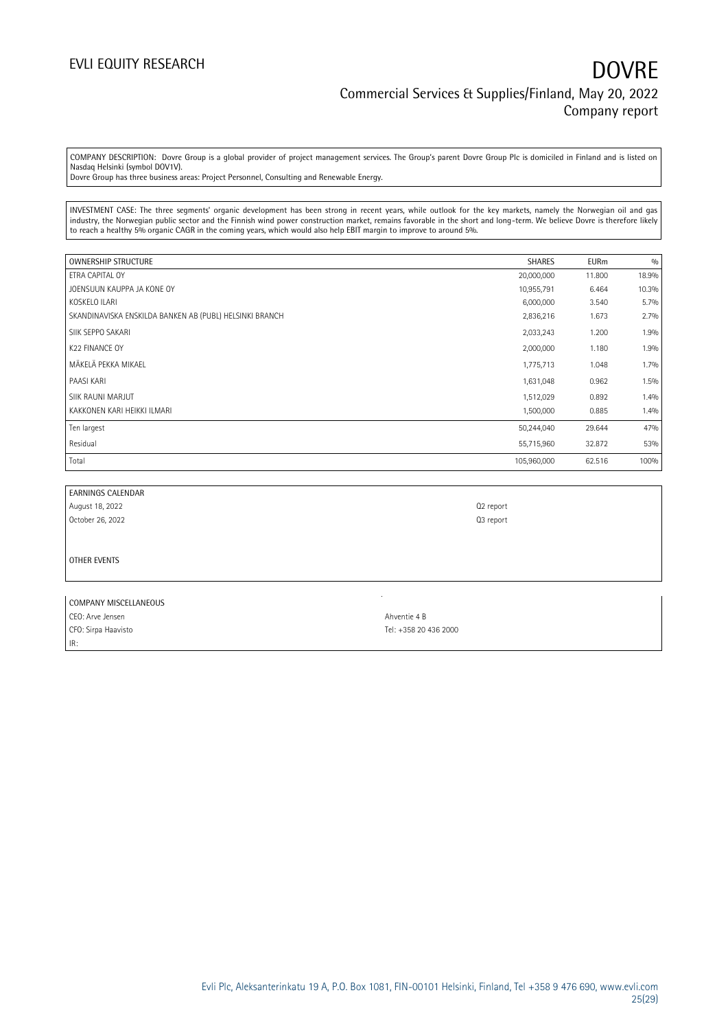COMPANY DESCRIPTION: Dovre Group is a global provider of project management services. The Group's parent Dovre Group Plc is domiciled in Finland and is listed on Nasdaq Helsinki (symbol DOV1V).

Dovre Group has three business areas: Project Personnel, Consulting and Renewable Energy.

INVESTMENT CASE: The three segments' organic development has been strong in recent years, while outlook for the key markets, namely the Norwegian oil and gas industry, the Norwegian public sector and the Finnish wind power construction market, remains favorable in the short and long-term. We believe Dovre is therefore likely to reach a healthy 5% organic CAGR in the coming years, which would also help EBIT margin to improve to around 5%.

| <b>OWNERSHIP STRUCTURE</b>                              | <b>SHARES</b> | <b>EURm</b> | 0/0   |
|---------------------------------------------------------|---------------|-------------|-------|
| ETRA CAPITAL OY                                         | 20,000,000    | 11.800      | 18.9% |
| JOENSUUN KAUPPA JA KONE OY                              | 10,955,791    | 6.464       | 10.3% |
| KOSKELO ILARI                                           | 6,000,000     | 3.540       | 5.7%  |
| SKANDINAVISKA ENSKILDA BANKEN AB (PUBL) HELSINKI BRANCH | 2,836,216     | 1.673       | 2.7%  |
| SIIK SEPPO SAKARI                                       | 2,033,243     | 1.200       | 1.9%  |
| K22 FINANCE OY                                          | 2,000,000     | 1.180       | 1.9%  |
| MÄKELÄ PEKKA MIKAEL                                     | 1,775,713     | 1.048       | 1.7%  |
| PAASI KARI                                              | 1,631,048     | 0.962       | 1.5%  |
| SIIK RAUNI MARJUT                                       | 1,512,029     | 0.892       | 1.4%  |
| KAKKONEN KARI HEIKKI ILMARI                             | 1,500,000     | 0.885       | 1.4%  |
| Ten largest                                             | 50,244,040    | 29.644      | 47%   |
| Residual                                                | 55,715,960    | 32.872      | 53%   |
| Total                                                   | 105,960,000   | 62.516      | 100%  |

EARNINGS CALENDAR August 18, 2022 Q2 report October 26, 2022 Q3 report OTHER EVENTS

| COMPANY MISCELLANEOUS |                       |
|-----------------------|-----------------------|
| CEO: Arve Jensen      | Ahventie 4 B          |
| CFO: Sirpa Haavisto   | Tel: +358 20 436 2000 |
| IR:                   |                       |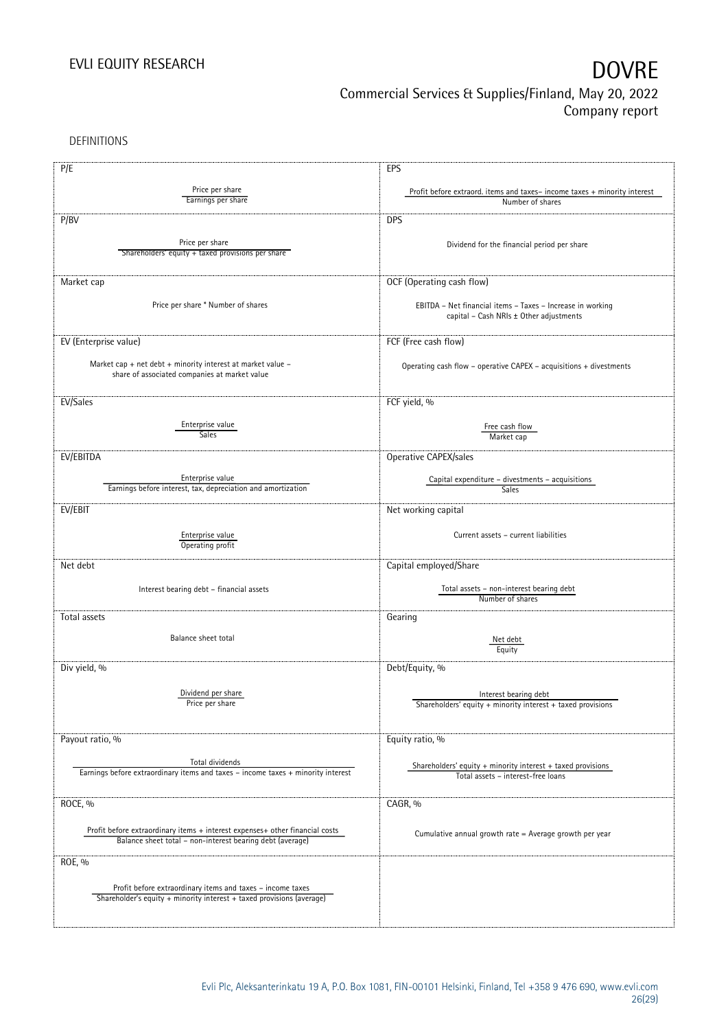DEFINITIONS

| P/E                                                                              | EPS                                                                                          |
|----------------------------------------------------------------------------------|----------------------------------------------------------------------------------------------|
| Price per share                                                                  |                                                                                              |
| Earnings per share                                                               | Profit before extraord. items and taxes-income taxes + minority interest<br>Number of shares |
|                                                                                  |                                                                                              |
| P/BV                                                                             | <b>DPS</b>                                                                                   |
|                                                                                  |                                                                                              |
| Price per share                                                                  | Dividend for the financial period per share                                                  |
| Shareholders' equity + taxed provisions per share                                |                                                                                              |
|                                                                                  |                                                                                              |
| Market cap                                                                       | OCF (Operating cash flow)                                                                    |
|                                                                                  |                                                                                              |
| Price per share * Number of shares                                               | EBITDA - Net financial items - Taxes - Increase in working                                   |
|                                                                                  | capital - Cash NRIs ± Other adjustments                                                      |
|                                                                                  |                                                                                              |
| EV (Enterprise value)                                                            | FCF (Free cash flow)                                                                         |
|                                                                                  |                                                                                              |
| Market cap + net debt + minority interest at market value -                      | Operating cash flow - operative CAPEX - acquisitions + divestments                           |
| share of associated companies at market value                                    |                                                                                              |
|                                                                                  |                                                                                              |
| EV/Sales                                                                         | FCF yield, %                                                                                 |
|                                                                                  |                                                                                              |
| Enterprise value                                                                 | Free cash flow                                                                               |
| Sales                                                                            | Market cap                                                                                   |
| EV/EBITDA                                                                        | Operative CAPEX/sales                                                                        |
|                                                                                  |                                                                                              |
| Enterprise value                                                                 | Capital expenditure - divestments - acquisitions                                             |
| Earnings before interest, tax, depreciation and amortization                     | Sales                                                                                        |
|                                                                                  |                                                                                              |
| EV/EBIT                                                                          | Net working capital                                                                          |
|                                                                                  |                                                                                              |
| Enterprise value                                                                 | Current assets - current liabilities                                                         |
| Operating profit                                                                 |                                                                                              |
| Net debt                                                                         | Capital employed/Share                                                                       |
|                                                                                  |                                                                                              |
| Interest bearing debt - financial assets                                         | Total assets - non-interest bearing debt                                                     |
|                                                                                  | Number of shares                                                                             |
| Total assets                                                                     | Gearing                                                                                      |
|                                                                                  |                                                                                              |
| Balance sheet total                                                              | Net debt                                                                                     |
|                                                                                  | Equity                                                                                       |
|                                                                                  |                                                                                              |
| Div yield, %                                                                     | Debt/Equity, %                                                                               |
|                                                                                  |                                                                                              |
| Dividend per share                                                               | Interest bearing debt                                                                        |
| Price per share                                                                  | Shareholders' equity + minority interest + taxed provisions                                  |
|                                                                                  |                                                                                              |
|                                                                                  |                                                                                              |
| Payout ratio, %                                                                  | Equity ratio, %                                                                              |
| Total dividends                                                                  |                                                                                              |
| Earnings before extraordinary items and taxes - income taxes + minority interest | Shareholders' equity $+$ minority interest $+$ taxed provisions                              |
|                                                                                  | Total assets - interest-free loans                                                           |
|                                                                                  |                                                                                              |
| ROCE, %                                                                          | CAGR, %                                                                                      |
|                                                                                  |                                                                                              |
| Profit before extraordinary items + interest expenses+ other financial costs     | Cumulative annual growth rate = Average growth per year                                      |
| Balance sheet total - non-interest bearing debt (average)                        |                                                                                              |
|                                                                                  |                                                                                              |
| ROE, %                                                                           |                                                                                              |
|                                                                                  |                                                                                              |
| Profit before extraordinary items and taxes - income taxes                       |                                                                                              |
| Shareholder's equity + minority interest + taxed provisions (average)            |                                                                                              |
|                                                                                  |                                                                                              |
|                                                                                  |                                                                                              |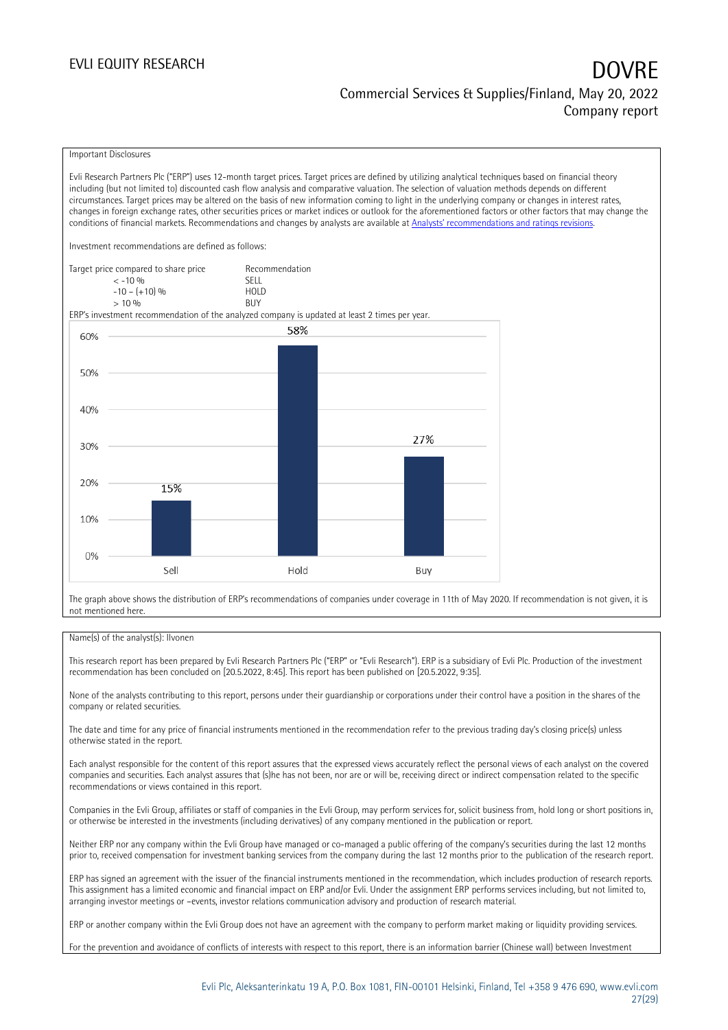#### Important Disclosures

Evli Research Partners Plc ("ERP") uses 12-month target prices. Target prices are defined by utilizing analytical techniques based on financial theory including (but not limited to) discounted cash flow analysis and comparative valuation. The selection of valuation methods depends on different circumstances. Target prices may be altered on the basis of new information coming to light in the underlying company or changes in interest rates, changes in foreign exchange rates, other securities prices or market indices or outlook for the aforementioned factors or other factors that may change the conditions of financial markets. Recommendations and changes by analysts are available at [Analysts' recommendations and ratings revisions](https://research.evli.com/JasperAllModels.action?authParam=key;461&authParam=x;G3rNagWrtf7K&authType=3). Investment recommendations are defined as follows: Target price compared to share price Recommendation < -10 % SELL  $-10 - (+10) \%$  HOL<br>  $> 10 \%$  BUY  $> 10\%$ ERP's investment recommendation of the analyzed company is updated at least 2 times per year. 58% 60% 50% 40% 27% 30% 20% 15% 10% 0% Sell Hold Buy

The graph above shows the distribution of ERP's recommendations of companies under coverage in 11th of May 2020. If recommendation is not given, it is not mentioned here.

#### Name(s) of the analyst(s): Ilvonen

This research report has been prepared by Evli Research Partners Plc ("ERP" or "Evli Research"). ERP is a subsidiary of Evli Plc. Production of the investment recommendation has been concluded on [20.5.2022, 8:45]. This report has been published on [20.5.2022, 9:35].

None of the analysts contributing to this report, persons under their guardianship or corporations under their control have a position in the shares of the company or related securities.

The date and time for any price of financial instruments mentioned in the recommendation refer to the previous trading day's closing price(s) unless otherwise stated in the report.

Each analyst responsible for the content of this report assures that the expressed views accurately reflect the personal views of each analyst on the covered companies and securities. Each analyst assures that (s)he has not been, nor are or will be, receiving direct or indirect compensation related to the specific recommendations or views contained in this report.

Companies in the Evli Group, affiliates or staff of companies in the Evli Group, may perform services for, solicit business from, hold long or short positions in, or otherwise be interested in the investments (including derivatives) of any company mentioned in the publication or report.

Neither ERP nor any company within the Evli Group have managed or co-managed a public offering of the company's securities during the last 12 months prior to, received compensation for investment banking services from the company during the last 12 months prior to the publication of the research report.

ERP has signed an agreement with the issuer of the financial instruments mentioned in the recommendation, which includes production of research reports. This assignment has a limited economic and financial impact on ERP and/or Evli. Under the assignment ERP performs services including, but not limited to, arranging investor meetings or –events, investor relations communication advisory and production of research material.

ERP or another company within the Evli Group does not have an agreement with the company to perform market making or liquidity providing services.

For the prevention and avoidance of conflicts of interests with respect to this report, there is an information barrier (Chinese wall) between Investment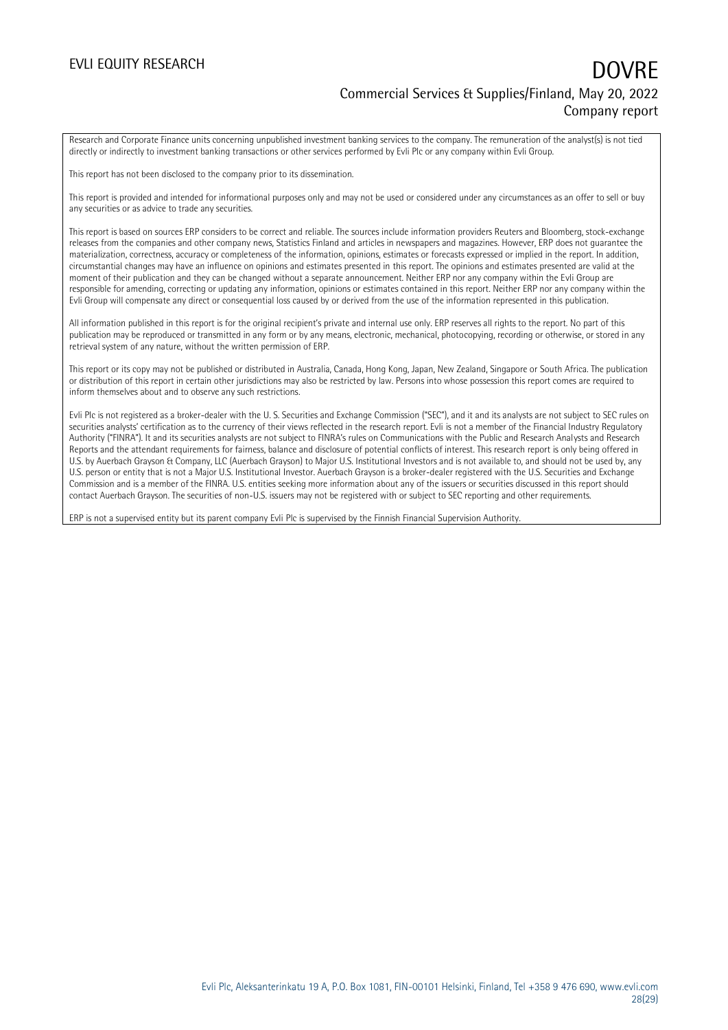Research and Corporate Finance units concerning unpublished investment banking services to the company. The remuneration of the analyst(s) is not tied directly or indirectly to investment banking transactions or other services performed by Evli Plc or any company within Evli Group.

This report has not been disclosed to the company prior to its dissemination.

This report is provided and intended for informational purposes only and may not be used or considered under any circumstances as an offer to sell or buy any securities or as advice to trade any securities.

This report is based on sources ERP considers to be correct and reliable. The sources include information providers Reuters and Bloomberg, stock-exchange releases from the companies and other company news, Statistics Finland and articles in newspapers and magazines. However, ERP does not guarantee the materialization, correctness, accuracy or completeness of the information, opinions, estimates or forecasts expressed or implied in the report. In addition, circumstantial changes may have an influence on opinions and estimates presented in this report. The opinions and estimates presented are valid at the moment of their publication and they can be changed without a separate announcement. Neither ERP nor any company within the Evli Group are responsible for amending, correcting or updating any information, opinions or estimates contained in this report. Neither ERP nor any company within the Evli Group will compensate any direct or consequential loss caused by or derived from the use of the information represented in this publication.

All information published in this report is for the original recipient's private and internal use only. ERP reserves all rights to the report. No part of this publication may be reproduced or transmitted in any form or by any means, electronic, mechanical, photocopying, recording or otherwise, or stored in any retrieval system of any nature, without the written permission of ERP.

This report or its copy may not be published or distributed in Australia, Canada, Hong Kong, Japan, New Zealand, Singapore or South Africa. The publication or distribution of this report in certain other jurisdictions may also be restricted by law. Persons into whose possession this report comes are required to inform themselves about and to observe any such restrictions.

Evli Plc is not registered as a broker-dealer with the U. S. Securities and Exchange Commission ("SEC"), and it and its analysts are not subject to SEC rules on securities analysts' certification as to the currency of their views reflected in the research report. Evli is not a member of the Financial Industry Regulatory Authority ("FINRA"). It and its securities analysts are not subject to FINRA's rules on Communications with the Public and Research Analysts and Research Reports and the attendant requirements for fairness, balance and disclosure of potential conflicts of interest. This research report is only being offered in U.S. by Auerbach Grayson & Company, LLC (Auerbach Grayson) to Major U.S. Institutional Investors and is not available to, and should not be used by, any U.S. person or entity that is not a Major U.S. Institutional Investor. Auerbach Grayson is a broker-dealer registered with the U.S. Securities and Exchange Commission and is a member of the FINRA. U.S. entities seeking more information about any of the issuers or securities discussed in this report should contact Auerbach Grayson. The securities of non-U.S. issuers may not be registered with or subject to SEC reporting and other requirements.

ERP is not a supervised entity but its parent company Evli Plc is supervised by the Finnish Financial Supervision Authority.